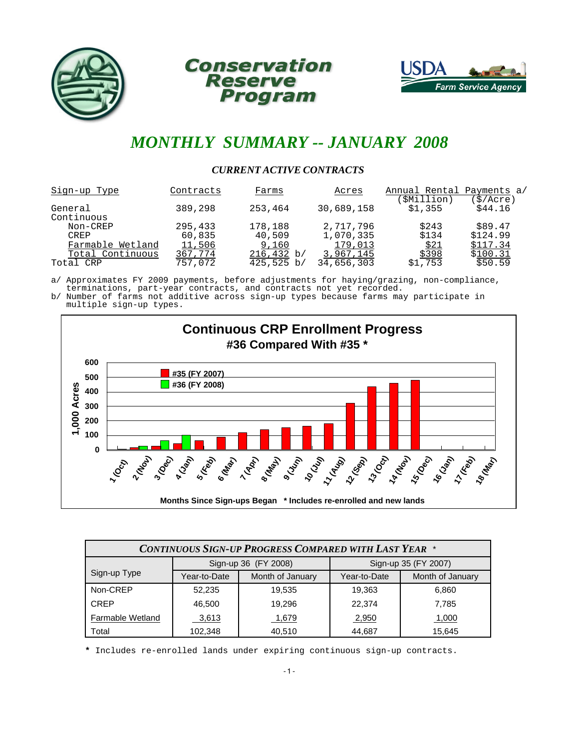





## *MONTHLY SUMMARY -- JANUARY 2008*

#### *CURRENT ACTIVE CONTRACTS*

| Sign-up Type          | Contracts | Farms           | Acres      | Annual Rental Payments a/<br>(\$Million) | $\frac{1}{2}$ /Acre) |
|-----------------------|-----------|-----------------|------------|------------------------------------------|----------------------|
| General<br>Continuous | 389,298   | 253,464         | 30,689,158 | \$1,355                                  | \$44.16              |
| Non-CREP              | 295,433   | 178,188         | 2,717,796  | \$243                                    | \$89.47              |
| <b>CREP</b>           | 60,835    | 40,509          | 1,070,335  | \$134                                    | \$124.99             |
| Farmable Wetland      | 11,506    | 9,160           | 179,013    | \$21                                     | \$117.34             |
| Total Continuous      | 367,774   | 216,432 b/      | 3,967,145  | \$398                                    | \$100.31             |
| Total CRP             | 757,072   | $425,525 \; b/$ | 34,656,303 | \$1,753                                  | \$50.59              |

a/ Approximates FY 2009 payments, before adjustments for haying/grazing, non-compliance, terminations, part-year contracts, and contracts not yet recorded.

b/ Number of farms not additive across sign-up types because farms may participate in multiple sign-up types.



| <b>CONTINUOUS SIGN-UP PROGRESS COMPARED WITH LAST YEAR *</b> |                                              |                  |              |                  |  |  |  |  |  |
|--------------------------------------------------------------|----------------------------------------------|------------------|--------------|------------------|--|--|--|--|--|
|                                                              | Sign-up 36 (FY 2008)<br>Sign-up 35 (FY 2007) |                  |              |                  |  |  |  |  |  |
| Sign-up Type                                                 | Year-to-Date                                 | Month of January | Year-to-Date | Month of January |  |  |  |  |  |
| Non-CREP                                                     | 52,235                                       | 19.535           | 19,363       | 6,860            |  |  |  |  |  |
| <b>CREP</b>                                                  | 46,500                                       | 19.296           | 22,374       | 7.785            |  |  |  |  |  |
| Farmable Wetland                                             | 3,613                                        | 1,679            | 2,950        | 1,000            |  |  |  |  |  |
| Total                                                        | 102,348                                      | 40,510           | 44,687       | 15,645           |  |  |  |  |  |

**\*** Includes re-enrolled lands under expiring continuous sign-up contracts.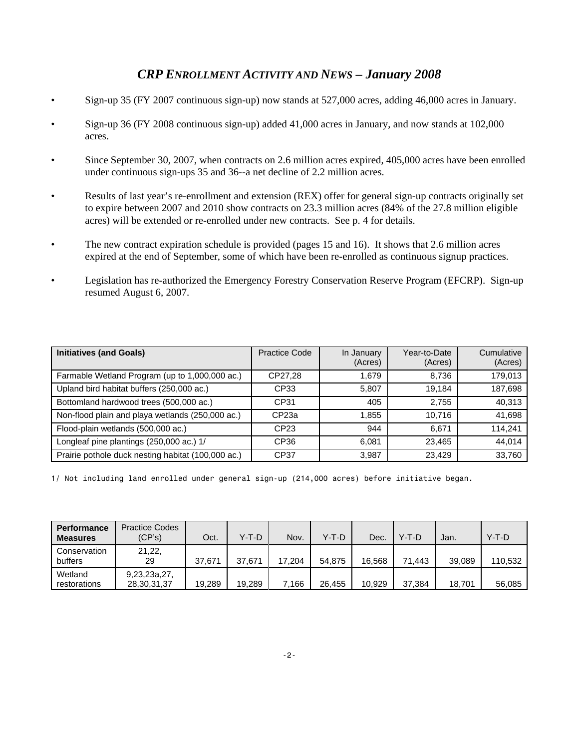### *CRP ENROLLMENT ACTIVITY AND NEWS – January 2008*

- Sign-up 35 (FY 2007 continuous sign-up) now stands at 527,000 acres, adding 46,000 acres in January.
- Sign-up 36 (FY 2008 continuous sign-up) added 41,000 acres in January, and now stands at 102,000 acres.
- Since September 30, 2007, when contracts on 2.6 million acres expired, 405,000 acres have been enrolled under continuous sign-ups 35 and 36--a net decline of 2.2 million acres.
- Results of last year's re-enrollment and extension (REX) offer for general sign-up contracts originally set to expire between 2007 and 2010 show contracts on 23.3 million acres (84% of the 27.8 million eligible acres) will be extended or re-enrolled under new contracts. See p. 4 for details.
- The new contract expiration schedule is provided (pages 15 and 16). It shows that 2.6 million acres expired at the end of September, some of which have been re-enrolled as continuous signup practices.
- Legislation has re-authorized the Emergency Forestry Conservation Reserve Program (EFCRP). Sign-up resumed August 6, 2007.

| <b>Initiatives (and Goals)</b>                     | Practice Code     | In January<br>(Acres) | Year-to-Date<br>(Acres) | Cumulative<br>(Acres) |
|----------------------------------------------------|-------------------|-----------------------|-------------------------|-----------------------|
| Farmable Wetland Program (up to 1,000,000 ac.)     | CP27.28           | 1.679                 | 8.736                   | 179.013               |
| Upland bird habitat buffers (250,000 ac.)          | CP33              | 5,807                 | 19.184                  | 187,698               |
| Bottomland hardwood trees (500,000 ac.)            | CP31              | 405                   | 2.755                   | 40,313                |
| Non-flood plain and playa wetlands (250,000 ac.)   | CP <sub>23a</sub> | 1,855                 | 10.716                  | 41,698                |
| Flood-plain wetlands (500,000 ac.)                 | CP23              | 944                   | 6.671                   | 114.241               |
| Longleaf pine plantings (250,000 ac.) 1/           | CP36              | 6,081                 | 23.465                  | 44.014                |
| Prairie pothole duck nesting habitat (100,000 ac.) | CP37              | 3,987                 | 23.429                  | 33,760                |

1/ Not including land enrolled under general sign-up (214,000 acres) before initiative began.

| Performance<br><b>Measures</b> | <b>Practice Codes</b><br>(CP's) | Oct.   | Y-T-D  | Nov.   | Y-T-D  | Dec.   | $Y-T-D$ | Jan.   | Y-T-D   |
|--------------------------------|---------------------------------|--------|--------|--------|--------|--------|---------|--------|---------|
| Conservation<br>buffers        | 21,22,<br>29                    | 37.671 | 37.671 | 17,204 | 54.875 | 16.568 | 71.443  | 39.089 | 110,532 |
| Wetland<br>restorations        | 9,23,23a,27,<br>28,30,31,37     | 19,289 | 19,289 | .166   | 26.455 | 10,929 | 37,384  | 18.701 | 56,085  |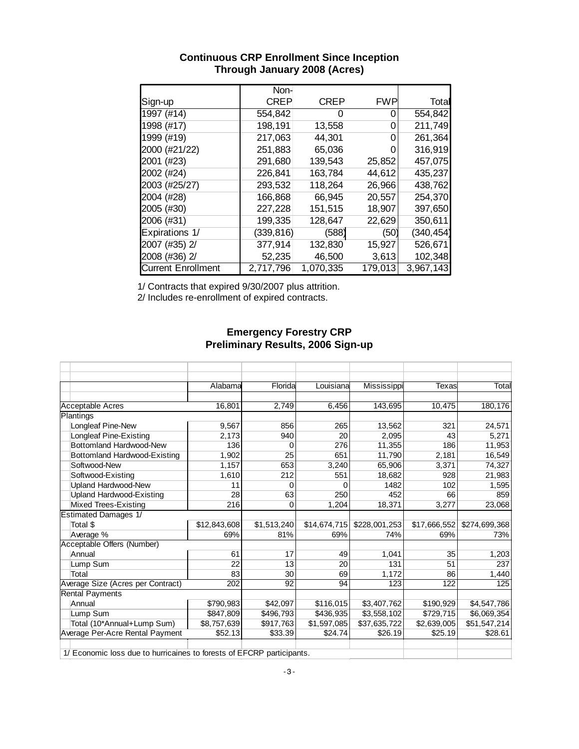|                           | Non-        |             |            |            |
|---------------------------|-------------|-------------|------------|------------|
| Sign-up                   | <b>CREP</b> | <b>CREP</b> | <b>FWP</b> | Total      |
| 1997 (#14)                | 554,842     | 0           |            | 554,842    |
| 1998 (#17)                | 198,191     | 13,558      | $\Box$     | 211,749    |
| 1999 (#19)                | 217,063     | 44,301      |            | 261,364    |
| 2000 (#21/22)             | 251,883     | 65,036      |            | 316,919    |
| 2001 (#23)                | 291,680     | 139,543     | 25,852     | 457,075    |
| 2002 (#24)                | 226,841     | 163,784     | 44,612     | 435,237    |
| 2003 (#25/27)             | 293,532     | 118,264     | 26,966     | 438,762    |
| 2004 (#28)                | 166,868     | 66,945      | 20,557     | 254,370    |
| 2005 (#30)                | 227,228     | 151,515     | 18,907     | 397,650    |
| 2006 (#31)                | 199,335     | 128,647     | 22,629     | 350,611    |
| Expirations 1/            | (339,816)   | (588)       | (50)       | (340, 454) |
| 2007 (#35) 2/             | 377,914     | 132,830     | 15,927     | 526,671    |
| 2008 (#36) 2/             | 52,235      | 46,500      | 3,613      | 102,348    |
| <b>Current Enrollment</b> | 2,717,796   | 1,070,335   | 179,013    | 3,967,143  |

#### **Continuous CRP Enrollment Since Inception Through January 2008 (Acres)**

1/ Contracts that expired 9/30/2007 plus attrition.

2/ Includes re-enrollment of expired contracts.

#### **Emergency Forestry CRP Preliminary Results, 2006 Sign-up**

|                                                                     | Alabama      | Florida     | Louisiana    | Mississippi   | <b>Texas</b>     | Total         |
|---------------------------------------------------------------------|--------------|-------------|--------------|---------------|------------------|---------------|
|                                                                     |              |             |              |               |                  |               |
| <b>Acceptable Acres</b>                                             | 16,801       | 2,749       | 6,456        | 143,695       | 10,475           | 180,176       |
| Plantings                                                           |              |             |              |               |                  |               |
| Longleaf Pine-New                                                   | 9,567        | 856         | 265          | 13,562        | 321              | 24,571        |
| <b>Longleaf Pine-Existing</b>                                       | 2,173        | 940         | 20           | 2,095         | 43               | 5,271         |
| Bottomland Hardwood-New                                             | 136          | 0           | 276          | 11,355        | 186              | 11,953        |
| Bottomland Hardwood-Existing                                        | 1,902        | 25          | 651          | 11,790        | 2,181            | 16,549        |
| Softwood-New                                                        | 1,157        | 653         | 3,240        | 65,906        | 3,371            | 74,327        |
| Softwood-Existing                                                   | 1,610        | 212         | 551          | 18,682        | 928              | 21,983        |
| <b>Upland Hardwood-New</b>                                          | 11           | 0           | 0            | 1482          | 102              | 1,595         |
| <b>Upland Hardwood-Existing</b>                                     | 28           | 63          | 250          | 452           | 66               | 859           |
| Mixed Trees-Existing                                                | 216          | 0           | 1,204        | 18,371        | 3,277            | 23,068        |
| <b>Estimated Damages 1/</b>                                         |              |             |              |               |                  |               |
| Total \$                                                            | \$12,843,608 | \$1,513,240 | \$14,674,715 | \$228,001,253 | \$17,666,552     | \$274,699,368 |
| Average %                                                           | 69%          | 81%         | 69%          | 74%           | 69%              | 73%           |
| <b>Acceptable Offers (Number)</b>                                   |              |             |              |               |                  |               |
| Annual                                                              | 61           | 17          | 49           | 1,041         | 35               | 1,203         |
| Lump Sum                                                            | 22           | 13          | 20           | 131           | 51               | 237           |
| Total                                                               | 83           | 30          | 69           | 1,172         | 86               | 1,440         |
| Average Size (Acres per Contract)                                   | 202          | 92          | 94           | 123           | $\overline{122}$ | 125           |
| <b>Rental Payments</b>                                              |              |             |              |               |                  |               |
| Annual                                                              | \$790,983    | \$42,097    | \$116,015    | \$3,407,762   | \$190,929        | \$4,547,786   |
| Lump Sum                                                            | \$847,809    | \$496,793   | \$436,935    | \$3,558,102   | \$729,715        | \$6,069,354   |
| Total (10*Annual+Lump Sum)                                          | \$8,757,639  | \$917,763   | \$1,597,085  | \$37,635,722  | \$2,639,005      | \$51,547,214  |
| Average Per-Acre Rental Payment                                     | \$52.13      | \$33.39     | \$24.74      | \$26.19       | \$25.19          | \$28.61       |
| 1/ Fechanic loss due to busingines to fesseta of FECDD positionants |              |             |              |               |                  |               |

1/ Economic loss due to hurricaines to forests of EFCRP participants.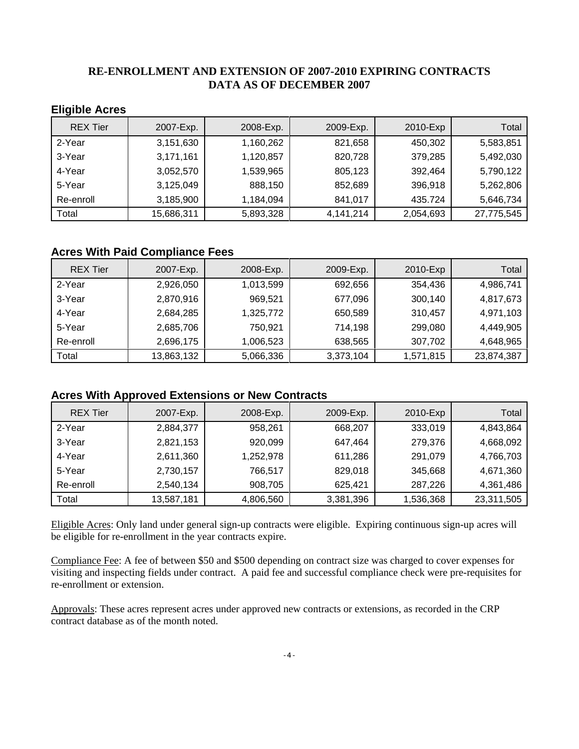#### **RE-ENROLLMENT AND EXTENSION OF 2007-2010 EXPIRING CONTRACTS DATA AS OF DECEMBER 2007**

#### **Eligible Acres**

| <b>REX Tier</b> | 2007-Exp.  | 2008-Exp. | 2009-Exp. | 2010-Exp  | Total      |
|-----------------|------------|-----------|-----------|-----------|------------|
| 2-Year          | 3,151,630  | 1,160,262 | 821,658   | 450,302   | 5,583,851  |
| 3-Year          | 3,171,161  | 1,120,857 | 820,728   | 379,285   | 5,492,030  |
| 4-Year          | 3,052,570  | 1,539,965 | 805,123   | 392,464   | 5,790,122  |
| 5-Year          | 3,125,049  | 888,150   | 852,689   | 396,918   | 5,262,806  |
| Re-enroll       | 3,185,900  | 1,184,094 | 841,017   | 435.724   | 5,646,734  |
| Total           | 15,686,311 | 5,893,328 | 4,141,214 | 2,054,693 | 27,775,545 |

#### **Acres With Paid Compliance Fees**

| <b>REX Tier</b> | 2007-Exp.  | 2008-Exp. | 2009-Exp. | 2010-Exp  | Total      |
|-----------------|------------|-----------|-----------|-----------|------------|
| 2-Year          | 2,926,050  | 1,013,599 | 692,656   | 354,436   | 4,986,741  |
| 3-Year          | 2,870,916  | 969,521   | 677,096   | 300,140   | 4,817,673  |
| 4-Year          | 2,684,285  | 1,325,772 | 650,589   | 310,457   | 4,971,103  |
| 5-Year          | 2,685,706  | 750,921   | 714,198   | 299,080   | 4,449,905  |
| Re-enroll       | 2,696,175  | 1,006,523 | 638,565   | 307,702   | 4,648,965  |
| Total           | 13,863,132 | 5,066,336 | 3,373,104 | 1,571,815 | 23,874,387 |

#### **Acres With Approved Extensions or New Contracts**

| <b>REX Tier</b> | 2007-Exp.  | 2008-Exp. | 2009-Exp. | 2010-Exp  | Total      |
|-----------------|------------|-----------|-----------|-----------|------------|
| 2-Year          | 2,884,377  | 958,261   | 668,207   | 333,019   | 4,843,864  |
| 3-Year          | 2,821,153  | 920,099   | 647,464   | 279,376   | 4,668,092  |
| 4-Year          | 2,611,360  | 1,252,978 | 611,286   | 291,079   | 4,766,703  |
| 5-Year          | 2,730,157  | 766,517   | 829,018   | 345,668   | 4,671,360  |
| Re-enroll       | 2,540,134  | 908,705   | 625,421   | 287,226   | 4,361,486  |
| Total           | 13,587,181 | 4,806,560 | 3,381,396 | 1,536,368 | 23,311,505 |

Eligible Acres: Only land under general sign-up contracts were eligible. Expiring continuous sign-up acres will be eligible for re-enrollment in the year contracts expire.

Compliance Fee: A fee of between \$50 and \$500 depending on contract size was charged to cover expenses for visiting and inspecting fields under contract. A paid fee and successful compliance check were pre-requisites for re-enrollment or extension.

Approvals: These acres represent acres under approved new contracts or extensions, as recorded in the CRP contract database as of the month noted.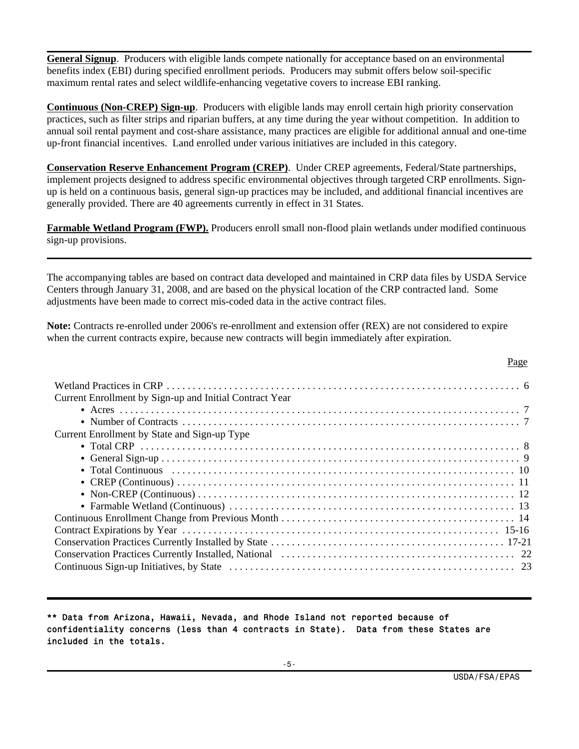**General Signup**. Producers with eligible lands compete nationally for acceptance based on an environmental benefits index (EBI) during specified enrollment periods. Producers may submit offers below soil-specific maximum rental rates and select wildlife-enhancing vegetative covers to increase EBI ranking.

**Continuous (Non-CREP) Sign-up**. Producers with eligible lands may enroll certain high priority conservation practices, such as filter strips and riparian buffers, at any time during the year without competition. In addition to annual soil rental payment and cost-share assistance, many practices are eligible for additional annual and one-time up-front financial incentives. Land enrolled under various initiatives are included in this category.

**Conservation Reserve Enhancement Program (CREP)**. Under CREP agreements, Federal/State partnerships, implement projects designed to address specific environmental objectives through targeted CRP enrollments. Signup is held on a continuous basis, general sign-up practices may be included, and additional financial incentives are generally provided. There are 40 agreements currently in effect in 31 States.

**Farmable Wetland Program (FWP).** Producers enroll small non-flood plain wetlands under modified continuous sign-up provisions.

The accompanying tables are based on contract data developed and maintained in CRP data files by USDA Service Centers through January 31, 2008, and are based on the physical location of the CRP contracted land. Some adjustments have been made to correct mis-coded data in the active contract files.

**Note:** Contracts re-enrolled under 2006's re-enrollment and extension offer (REX) are not considered to expire when the current contracts expire, because new contracts will begin immediately after expiration.

| Page                                                    |  |
|---------------------------------------------------------|--|
| Current Enrollment by Sign-up and Initial Contract Year |  |
|                                                         |  |
|                                                         |  |
| Current Enrollment by State and Sign-up Type            |  |
|                                                         |  |
|                                                         |  |
|                                                         |  |
|                                                         |  |
|                                                         |  |
|                                                         |  |
|                                                         |  |
|                                                         |  |
|                                                         |  |
|                                                         |  |
|                                                         |  |

\*\* Data from Arizona, Hawaii, Nevada, and Rhode Island not reported because of confidentiality concerns (less than 4 contracts in State). Data from these States are included in the totals.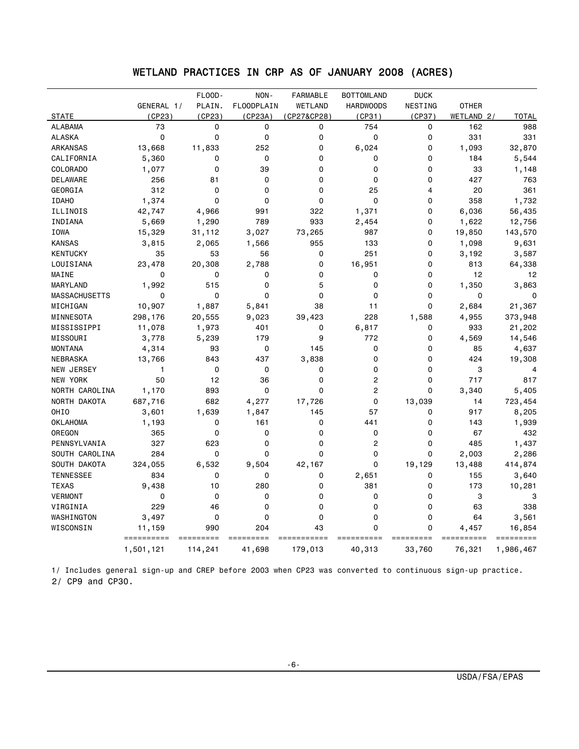### WETLAND PRACTICES IN CRP AS OF JANUARY 2008 (ACRES)

|                  |              | FLOOD-      | NON-        | <b>FARMABLE</b> | <b>BOTTOMLAND</b> | <b>DUCK</b> |              |              |
|------------------|--------------|-------------|-------------|-----------------|-------------------|-------------|--------------|--------------|
|                  | GENERAL 1/   | PLAIN.      | FLOODPLAIN  | WETLAND         | <b>HARDWOODS</b>  | NESTING     | <b>OTHER</b> |              |
| <b>STATE</b>     | (CP23)       | (CP23)      | (CP23A)     | (CP27&CP28)     | (CP31)            | (CP37)      | WETLAND 2/   | <b>TOTAL</b> |
| <b>ALABAMA</b>   | 73           | 0           | 0           | 0               | 754               | 0           | 162          | 988          |
| <b>ALASKA</b>    | $\mathbf 0$  | $\mathbf 0$ | 0           | 0               | 0                 | 0           | 331          | 331          |
| <b>ARKANSAS</b>  | 13,668       | 11,833      | 252         | 0               | 6,024             | 0           | 1,093        | 32,870       |
| CALIFORNIA       | 5,360        | 0           | 0           | 0               | 0                 | 0           | 184          | 5,544        |
| <b>COLORADO</b>  | 1,077        | $\mathbf 0$ | 39          | 0               | 0                 | 0           | 33           | 1,148        |
| <b>DELAWARE</b>  | 256          | 81          | 0           | 0               | 0                 | 0           | 427          | 763          |
| GEORGIA          | 312          | $\mathbf 0$ | 0           | 0               | 25                | 4           | 20           | 361          |
| <b>IDAHO</b>     | 1,374        | $\Omega$    | 0           | 0               | 0                 | 0           | 358          | 1,732        |
| ILLINOIS         | 42,747       | 4,966       | 991         | 322             | 1,371             | 0           | 6,036        | 56,435       |
| INDIANA          | 5,669        | 1,290       | 789         | 933             | 2,454             | 0           | 1,622        | 12,756       |
| IOWA             | 15,329       | 31,112      | 3,027       | 73,265          | 987               | 0           | 19,850       | 143,570      |
| <b>KANSAS</b>    | 3,815        | 2,065       | 1,566       | 955             | 133               | $\Omega$    | 1,098        | 9,631        |
| <b>KENTUCKY</b>  | 35           | 53          | 56          | 0               | 251               | 0           | 3,192        | 3,587        |
| LOUISIANA        | 23,478       | 20,308      | 2,788       | 0               | 16,951            | 0           | 813          | 64,338       |
| MAINE            | 0            | $\mathbf 0$ | 0           | $\Omega$        | 0                 | $\Omega$    | 12           | 12           |
| MARYLAND         | 1,992        | 515         | 0           | 5               | 0                 | 0           | 1,350        | 3,863        |
| MASSACHUSETTS    | $\Omega$     | $\Omega$    | $\mathbf 0$ | $\Omega$        | 0                 | $\Omega$    | $\Omega$     | $\mathbf 0$  |
| MICHIGAN         | 10,907       | 1,887       | 5,841       | 38              | 11                | $\Omega$    | 2,684        | 21,367       |
| MINNESOTA        | 298,176      | 20,555      | 9,023       | 39,423          | 228               | 1,588       | 4,955        | 373,948      |
| MISSISSIPPI      | 11,078       | 1,973       | 401         | 0               | 6,817             | 0           | 933          | 21,202       |
| MISSOURI         | 3,778        | 5,239       | 179         | 9               | 772               | 0           | 4,569        | 14,546       |
| <b>MONTANA</b>   | 4,314        | 93          | 0           | 145             | 0                 | 0           | 85           | 4,637        |
| NEBRASKA         | 13,766       | 843         | 437         | 3,838           | 0                 | 0           | 424          | 19,308       |
| NEW JERSEY       | $\mathbf{1}$ | 0           | 0           | 0               | 0                 | 0           | 3            | 4            |
| NEW YORK         | 50           | 12          | 36          | 0               | $\overline{c}$    | 0           | 717          | 817          |
| NORTH CAROLINA   | 1,170        | 893         | $\mathbf 0$ | $\Omega$        | $\overline{c}$    | 0           | 3,340        | 5,405        |
| NORTH DAKOTA     | 687,716      | 682         | 4,277       | 17,726          | 0                 | 13,039      | 14           | 723,454      |
| OHIO             | 3,601        | 1,639       | 1,847       | 145             | 57                | 0           | 917          | 8,205        |
| <b>OKLAHOMA</b>  | 1,193        | $\Omega$    | 161         | 0               | 441               | 0           | 143          | 1,939        |
| OREGON           | 365          | $\mathbf 0$ | 0           | 0               | 0                 | 0           | 67           | 432          |
| PENNSYLVANIA     | 327          | 623         | 0           | 0               | $\overline{c}$    | 0           | 485          | 1,437        |
| SOUTH CAROLINA   | 284          | $\Omega$    | $\mathbf 0$ | 0               | 0                 | $\Omega$    | 2,003        | 2,286        |
| SOUTH DAKOTA     | 324,055      | 6,532       | 9,504       | 42,167          | 0                 | 19,129      | 13,488       | 414,874      |
| <b>TENNESSEE</b> | 834          | $\mathbf 0$ | 0           | 0               | 2,651             | 0           | 155          | 3,640        |
| <b>TEXAS</b>     | 9,438        | 10          | 280         | 0               | 381               | 0           | 173          | 10,281       |
| <b>VERMONT</b>   | $\mathbf 0$  | $\mathbf 0$ | 0           | 0               | 0                 | 0           | 3            | 3            |
| VIRGINIA         | 229          | 46          | 0           | 0               | 0                 | 0           | 63           | 338          |
| WASHINGTON       | 3,497        | 0           | 0           | 0               | 0                 | 0           | 64           | 3,561        |
| WISCONSIN        | 11,159       | 990         | 204         | 43              | 0                 | 0           | 4,457        | 16,854       |
|                  |              |             |             |                 |                   |             |              |              |
|                  | 1,501,121    | 114,241     | 41,698      | 179,013         | 40,313            | 33,760      | 76,321       | 1,986,467    |

 1/ Includes general sign-up and CREP before 2003 when CP23 was converted to continuous sign-up practice. 2/ CP9 and CP30.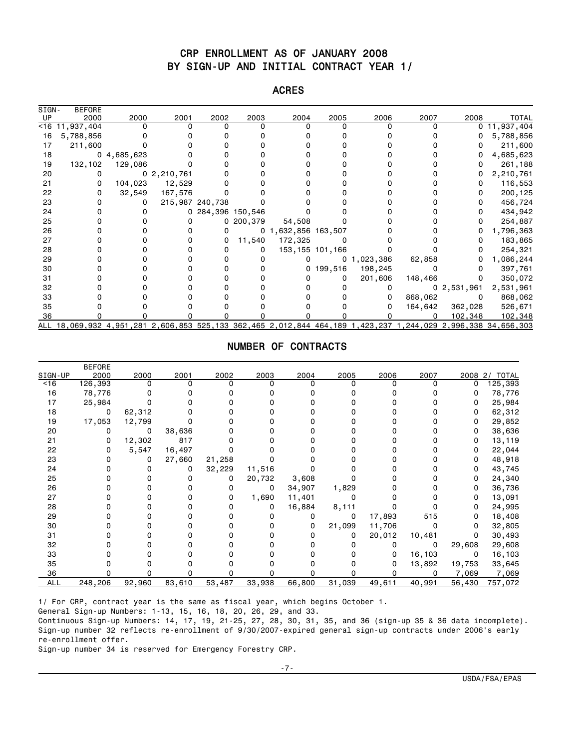#### CRP ENROLLMENT AS OF JANUARY 2008 BY SIGN-UP AND INITIAL CONTRACT YEAR 1/

# ACRES

| SIGN-  | <b>BEFORE</b>                                                                                                 |            |                |                   |           |                          |                   |                |         |                |            |
|--------|---------------------------------------------------------------------------------------------------------------|------------|----------------|-------------------|-----------|--------------------------|-------------------|----------------|---------|----------------|------------|
| UP     | 2000                                                                                                          | 2000       | 2001           | 2002              | 2003      | 2004                     | 2005              | 2006           | 2007    | 2008           | TOTAL      |
| $<$ 16 | 11,937,404                                                                                                    |            |                | n                 |           |                          | U                 |                |         | 0              | 11,937,404 |
| 16     | 5,788,856                                                                                                     |            |                |                   |           |                          |                   |                |         |                | 5,788,856  |
| 17     | 211,600                                                                                                       |            |                |                   |           |                          |                   |                |         |                | 211,600    |
| 18     |                                                                                                               | 04,685,623 |                |                   |           |                          |                   |                |         |                | 4,685,623  |
| 19     | 132,102                                                                                                       | 129,086    |                |                   |           |                          |                   |                |         |                | 261,188    |
| 20     | 0                                                                                                             |            | 0, 2, 210, 761 |                   |           |                          |                   |                |         |                | 2,210,761  |
| 21     | 0                                                                                                             | 104,023    | 12,529         |                   |           |                          |                   |                |         |                | 116,553    |
| 22     | 0                                                                                                             | 32,549     | 167,576        |                   |           |                          |                   |                |         |                | 200,125    |
| 23     |                                                                                                               |            |                | 215,987 240,738   |           |                          |                   |                |         |                | 456,724    |
| 24     |                                                                                                               |            |                | 0 284,396 150,546 |           |                          |                   |                |         |                | 434,942    |
| 25     |                                                                                                               |            |                |                   | 0 200,379 | 54,508                   |                   |                |         |                | 254,887    |
| 26     |                                                                                                               |            |                |                   |           | 0, 1, 632, 856, 163, 507 |                   |                |         |                | 1,796,363  |
| 27     |                                                                                                               |            |                |                   | 11,540    | 172,325                  |                   |                |         |                | 183,865    |
| 28     |                                                                                                               |            |                |                   |           |                          | 153, 155 101, 166 |                |         |                | 254,321    |
| 29     |                                                                                                               |            |                |                   |           |                          |                   | 0, 1, 023, 386 | 62,858  |                | 1,086,244  |
| 30     |                                                                                                               |            |                |                   |           |                          | 0, 199, 516       | 198,245        |         |                | 397,761    |
| 31     |                                                                                                               |            |                |                   |           |                          |                   | 201,606        | 148,466 |                | 350,072    |
| 32     |                                                                                                               |            |                |                   |           |                          |                   |                |         | 0, 2, 531, 961 | 2,531,961  |
| 33     |                                                                                                               |            |                |                   |           |                          |                   |                | 868,062 | 0              | 868,062    |
| 35     |                                                                                                               |            |                |                   |           |                          |                   |                | 164,642 | 362,028        | 526,671    |
| 36     |                                                                                                               |            |                |                   |           |                          |                   |                |         | 102,348        | 102,348    |
|        | ALL 18,069,932 4,951,281 2,606,853 525,133 362,465 2,012,844 464,189 1,423,237 1,244,029 2,996,338 34,656,303 |            |                |                   |           |                          |                   |                |         |                |            |

#### NUMBER OF CONTRACTS

|            | <b>BEFORE</b> |        |          |        |        |        |        |        |        |         |              |
|------------|---------------|--------|----------|--------|--------|--------|--------|--------|--------|---------|--------------|
| SIGN-UP    | 2000          | 2000   | 2001     | 2002   | 2003   | 2004   | 2005   | 2006   | 2007   | 2008 2/ | <b>TOTAL</b> |
| <16        | 126,393       | U      | $\Omega$ |        | n      | ŋ      |        | 0      | O      | 0       | 125,393      |
| 16         | 78,776        |        |          |        |        |        |        |        |        |         | 78,776       |
| 17         | 25,984        |        |          |        |        |        |        |        |        |         | 25,984       |
| 18         | 0             | 62,312 |          |        |        |        |        |        |        |         | 62,312       |
| 19         | 17,053        | 12,799 |          |        |        |        |        |        |        | 0       | 29,852       |
| 20         | Ω             | 0      | 38,636   |        |        |        |        |        |        |         | 38,636       |
| 21         |               | 12,302 | 817      |        |        |        |        |        |        |         | 13,119       |
| 22         |               | 5,547  | 16,497   |        |        |        |        |        |        |         | 22,044       |
| 23         |               | 0      | 27,660   | 21,258 |        |        |        |        |        |         | 48,918       |
| 24         |               |        | 0        | 32,229 | 11,516 |        |        |        |        | 0       | 43,745       |
| 25         |               |        |          |        | 20,732 | 3,608  |        |        |        |         | 24,340       |
| 26         |               |        |          |        | 0      | 34,907 | 1,829  |        |        |         | 36,736       |
| 27         |               |        |          |        | 1,690  | 11,401 |        |        |        |         | 13,091       |
| 28         |               |        |          |        |        | 16,884 | 8,111  |        |        |         | 24,995       |
| 29         |               |        |          |        |        | 0      | 0      | 17,893 | 515    |         | 18,408       |
| 30         |               |        |          |        |        | 0      | 21,099 | 11,706 | 0      |         | 32,805       |
| 31         |               |        |          |        |        |        | 0      | 20,012 | 10,481 |         | 30,493       |
| 32         |               |        |          |        |        |        |        | 0      | 0      | 29,608  | 29,608       |
| 33         |               |        |          |        |        |        |        | 0      | 16,103 | 0       | 16,103       |
| 35         |               |        |          |        |        |        |        | 0      | 13,892 | 19,753  | 33,645       |
| 36         |               |        |          |        |        |        |        |        | O      | 7,069   | 7,069        |
| <b>ALL</b> | 248,206       | 92,960 | 83,610   | 53,487 | 33,938 | 66,800 | 31,039 | 49,611 | 40,991 | 56,430  | 757,072      |

1/ For CRP, contract year is the same as fiscal year, which begins October 1.

General Sign-up Numbers: 1-13, 15, 16, 18, 20, 26, 29, and 33.

Continuous Sign-up Numbers: 14, 17, 19, 21-25, 27, 28, 30, 31, 35, and 36 (sign-up 35 & 36 data incomplete). Sign-up number 32 reflects re-enrollment of 9/30/2007-expired general sign-up contracts under 2006's early re-enrollment offer.

Sign-up number 34 is reserved for Emergency Forestry CRP.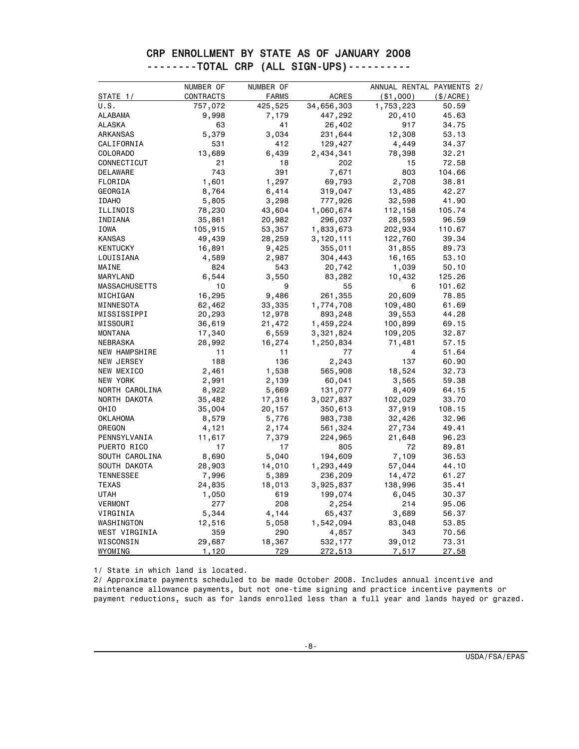| CRP ENROLLMENT BY STATE AS OF JANUARY 2008 |
|--------------------------------------------|
| --------TOTAL CRP (ALL SIGN-UPS)---------- |
|                                            |

|                      | NUMBER OF | NUMBER OF    |              | ANNUAL RENTAL PAYMENTS 2/ |          |
|----------------------|-----------|--------------|--------------|---------------------------|----------|
| STATE 1/             | CONTRACTS | <b>FARMS</b> | <b>ACRES</b> | ( \$1,000)                | (S/ACRE) |
| U.S.                 | 757,072   | 425,525      | 34,656,303   | 1,753,223                 | 50.59    |
| ALABAMA              | 9,998     | 7,179        | 447,292      | 20,410                    | 45.63    |
| <b>ALASKA</b>        | 63        | 41           | 26,402       | 917                       | 34.75    |
| ARKANSAS             | 5,379     | 3,034        | 231,644      | 12,308                    | 53.13    |
| CALIFORNIA           | 531       | 412          | 129,427      | 4,449                     | 34.37    |
| COLORADO             | 13,689    | 6,439        | 2,434,341    | 78,398                    | 32.21    |
| CONNECTICUT          | 21        | 18           | 202          | 15                        | 72.58    |
| DELAWARE             | 743       | 391          | 7,671        | 803                       | 104.66   |
| FLORIDA              | 1,601     | 1,297        | 69,793       | 2,708                     | 38.81    |
| GEORGIA              | 8,764     | 6,414        | 319,047      | 13,485                    | 42.27    |
| <b>IDAHO</b>         | 5,805     | 3,298        | 777,926      | 32,598                    | 41.90    |
| ILLINOIS             | 78,230    | 43,604       | 1,060,674    | 112,158                   | 105.74   |
| INDIANA              | 35,861    | 20,982       | 296,037      | 28,593                    | 96.59    |
| IOWA                 | 105,915   | 53,357       | 1,833,673    | 202,934                   | 110.67   |
| <b>KANSAS</b>        | 49,439    | 28,259       | 3,120,111    | 122,760                   | 39.34    |
| <b>KENTUCKY</b>      | 16,891    | 9,425        | 355,011      | 31,855                    | 89.73    |
| LOUISIANA            | 4,589     | 2,987        | 304,443      | 16,165                    | 53.10    |
| MAINE                | 824       | 543          | 20,742       | 1,039                     | 50.10    |
| MARYLAND             | 6,544     | 3,550        | 83,282       | 10,432                    | 125.26   |
| <b>MASSACHUSETTS</b> | 10        | 9            | 55           | 6                         | 101.62   |
| MICHIGAN             | 16,295    | 9,486        | 261,355      | 20,609                    | 78.85    |
| MINNESOTA            | 62,462    | 33,335       | 1,774,708    | 109,480                   | 61.69    |
| MISSISSIPPI          | 20,293    | 12,978       | 893,248      | 39,553                    | 44.28    |
| MISSOURI             | 36,619    | 21,472       | 1,459,224    | 100,899                   | 69.15    |
| <b>MONTANA</b>       | 17,340    | 6,559        | 3,321,824    | 109,205                   | 32.87    |
| NEBRASKA             | 28,992    | 16,274       | 1,250,834    | 71,481                    | 57.15    |
| NEW HAMPSHIRE        | 11        | 11           | 77           | 4                         | 51.64    |
| NEW JERSEY           | 188       | 136          | 2,243        | 137                       | 60.90    |
| NEW MEXICO           | 2,461     | 1,538        | 565,908      | 18,524                    | 32.73    |
| NEW YORK             | 2,991     | 2,139        | 60,041       | 3,565                     | 59.38    |
| NORTH CAROLINA       | 8,922     | 5,669        | 131,077      | 8,409                     | 64.15    |
| NORTH DAKOTA         | 35,482    | 17,316       | 3,027,837    | 102,029                   | 33.70    |
| OHIO                 | 35,004    | 20,157       | 350,613      | 37,919                    | 108.15   |
| <b>OKLAHOMA</b>      | 8,579     | 5,776        | 983,738      | 32,426                    | 32.96    |
| OREGON               | 4,121     | 2,174        | 561,324      | 27,734                    | 49.41    |
| PENNSYLVANIA         | 11,617    | 7,379        | 224,965      | 21,648                    | 96.23    |
| PUERTO RICO          | 17        | 17           | 805          | 72                        | 89.81    |
| SOUTH CAROLINA       | 8,690     | 5,040        | 194,609      | 7,109                     | 36.53    |
| SOUTH DAKOTA         | 28,903    | 14,010       | 1,293,449    | 57,044                    | 44.10    |
| <b>TENNESSEE</b>     | 7,996     | 5,389        | 236,209      | 14,472                    | 61.27    |
| <b>TEXAS</b>         | 24,835    | 18,013       | 3,925,837    | 138,996                   | 35.41    |
| <b>UTAH</b>          | 1,050     | 619          | 199,074      | 6,045                     | 30.37    |
| VERMONT              | 277       | 208          | 2,254        | 214                       | 95.06    |
| VIRGINIA             | 5,344     | 4,144        | 65,437       | 3,689                     | 56.37    |
| WASHINGTON           | 12,516    | 5,058        | 1,542,094    | 83,048                    | 53.85    |
| WEST VIRGINIA        | 359       | 290          | 4,857        | 343                       | 70.56    |
| WISCONSIN            | 29,687    | 18,367       | 532,177      | 39,012                    | 73.31    |
| WYOMING              | 1,120     | 729          | 272,513      | 7,517                     | 27.58    |

1/ State in which land is located.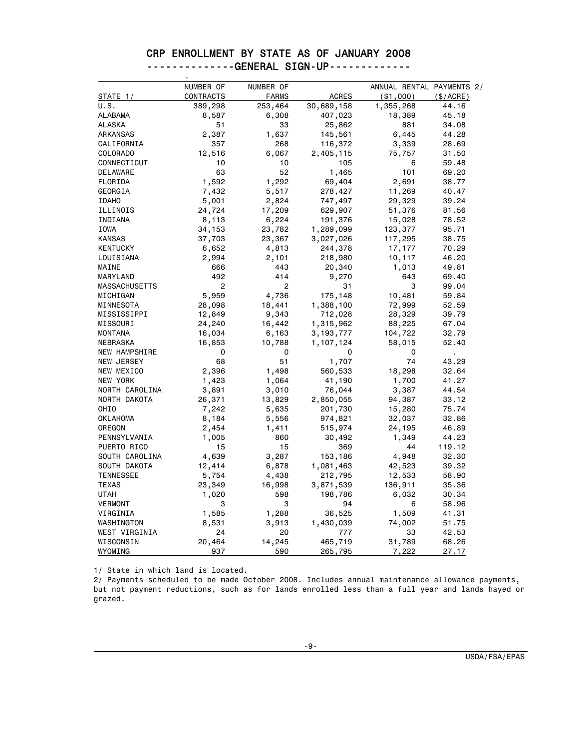## CRP ENROLLMENT BY STATE AS OF JANUARY 2008 --------------GENERAL SIGN-UP--------------<br>-

|                      | NUMBER OF | NUMBER OF      |              | ANNUAL RENTAL PAYMENTS 2/ |           |
|----------------------|-----------|----------------|--------------|---------------------------|-----------|
| STATE 1/             | CONTRACTS | <b>FARMS</b>   | <b>ACRES</b> | ( \$1,000)                | (\$/ACRE) |
| U.S.                 | 389,298   | 253,464        | 30,689,158   | 1,355,268                 | 44.16     |
| ALABAMA              | 8,587     | 6,308          | 407,023      | 18,389                    | 45.18     |
| ALASKA               | 51        | 33             | 25,862       | 881                       | 34.08     |
| ARKANSAS             | 2,387     | 1,637          | 145,561      | 6,445                     | 44.28     |
| CALIFORNIA           | 357       | 268            | 116,372      | 3,339                     | 28.69     |
| <b>COLORADO</b>      | 12,516    | 6,067          | 2,405,115    | 75,757                    | 31.50     |
| CONNECTICUT          | 10        | 10             | 105          | 6                         | 59.48     |
| DELAWARE             | 63        | 52             | 1,465        | 101                       | 69.20     |
| FLORIDA              | 1,592     | 1,292          | 69,404       | 2,691                     | 38.77     |
| GEORGIA              | 7,432     | 5,517          | 278,427      | 11,269                    | 40.47     |
| <b>IDAHO</b>         | 5,001     | 2,824          | 747,497      | 29,329                    | 39.24     |
| ILLINOIS             | 24,724    | 17,209         | 629,907      | 51,376                    | 81.56     |
| INDIANA              | 8,113     | 6,224          | 191,376      | 15,028                    | 78.52     |
| IOWA                 | 34,153    | 23,782         | 1,289,099    | 123,377                   | 95.71     |
| <b>KANSAS</b>        | 37,703    | 23,367         | 3,027,026    | 117,295                   | 38.75     |
| <b>KENTUCKY</b>      | 6,652     | 4,813          | 244,378      | 17,177                    | 70.29     |
| LOUISIANA            | 2,994     | 2,101          | 218,980      | 10,117                    | 46.20     |
| MAINE                | 666       | 443            | 20,340       | 1,013                     | 49.81     |
| MARYLAND             | 492       | 414            | 9,270        | 643                       | 69.40     |
| <b>MASSACHUSETTS</b> | 2         | $\overline{c}$ | 31           | 3                         | 99.04     |
| MICHIGAN             | 5,959     | 4,736          | 175,148      | 10,481                    | 59.84     |
| MINNESOTA            | 28,098    | 18,441         | 1,388,100    | 72,999                    | 52.59     |
| MISSISSIPPI          | 12,849    | 9,343          | 712,028      | 28,329                    | 39.79     |
| MISSOURI             | 24,240    | 16,442         | 1,315,962    | 88,225                    | 67.04     |
| <b>MONTANA</b>       | 16,034    | 6,163          | 3, 193, 777  | 104,722                   | 32.79     |
| NEBRASKA             | 16,853    | 10,788         | 1,107,124    | 58,015                    | 52.40     |
| NEW HAMPSHIRE        | 0         | 0              | 0            | 0                         |           |
| NEW JERSEY           | 68        | 51             | 1,707        | 74                        | 43.29     |
| NEW MEXICO           | 2,396     | 1,498          | 560,533      | 18,298                    | 32.64     |
| NEW YORK             | 1,423     | 1,064          | 41,190       | 1,700                     | 41.27     |
| NORTH CAROLINA       | 3,891     | 3,010          | 76,044       | 3,387                     | 44.54     |
| NORTH DAKOTA         | 26,371    | 13,829         | 2,850,055    | 94,387                    | 33.12     |
| <b>OHIO</b>          | 7,242     | 5,635          | 201,730      | 15,280                    | 75.74     |
| OKLAHOMA             | 8,184     | 5,556          | 974,821      | 32,037                    | 32.86     |
| OREGON               | 2,454     | 1,411          | 515,974      | 24,195                    | 46.89     |
| PENNSYLVANIA         | 1,005     | 860            | 30,492       | 1,349                     | 44.23     |
| PUERTO RICO          | 15        | 15             | 369          | 44                        | 119.12    |
| SOUTH CAROLINA       | 4,639     | 3,287          | 153,186      | 4,948                     | 32.30     |
| SOUTH DAKOTA         | 12,414    | 6,878          | 1,081,463    | 42,523                    | 39.32     |
| <b>TENNESSEE</b>     | 5,754     | 4,438          | 212,795      | 12,533                    | 58.90     |
| TEXAS                | 23,349    | 16,998         | 3,871,539    | 136,911                   | 35.36     |
| <b>UTAH</b>          | 1,020     | 598            | 198,786      | 6,032                     | 30.34     |
| <b>VERMONT</b>       | 3         | 3              | 94           | 6                         | 58.96     |
| VIRGINIA             | 1,585     | 1,288          | 36,525       | 1,509                     | 41.31     |
| WASHINGTON           | 8,531     | 3,913          | 1,430,039    | 74,002                    | 51.75     |
| WEST VIRGINIA        | 24        | 20             | 777          | 33                        | 42.53     |
| WISCONSIN            | 20,464    | 14,245         | 465,719      | 31,789                    | 68.26     |
| WYOMING              | 937       | 590            | 265,795      | 7,222                     | 27.17     |

1/ State in which land is located.

2/ Payments scheduled to be made October 2008. Includes annual maintenance allowance payments, but not payment reductions, such as for lands enrolled less than a full year and lands hayed or grazed.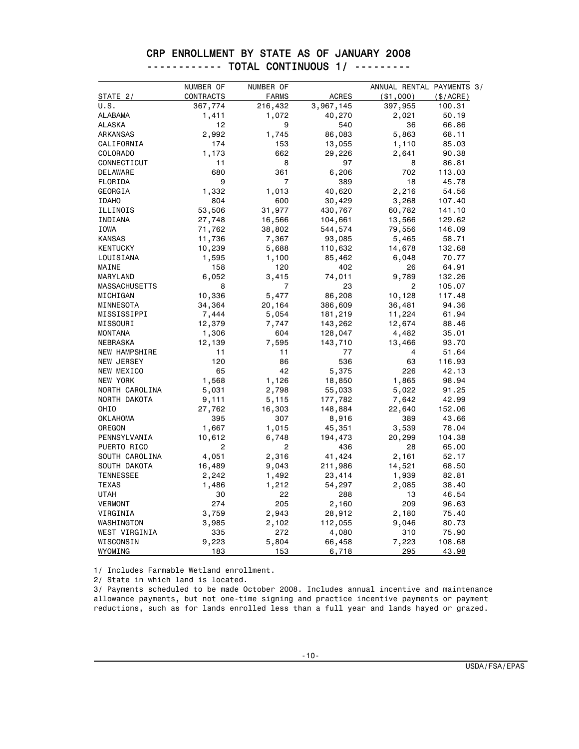|                      | NUMBER OF | NUMBER OF      |              | ANNUAL RENTAL PAYMENTS 3/ |           |
|----------------------|-----------|----------------|--------------|---------------------------|-----------|
| STATE 2/             | CONTRACTS | <b>FARMS</b>   | <b>ACRES</b> | ( \$1,000)                | (\$/ACRE) |
| U.S.                 | 367,774   | 216,432        | 3,967,145    | 397,955                   | 100.31    |
| ALABAMA              | 1,411     | 1,072          | 40,270       | 2,021                     | 50.19     |
| <b>ALASKA</b>        | 12        | 9              | 540          | 36                        | 66.86     |
| ARKANSAS             | 2,992     | 1,745          | 86,083       | 5,863                     | 68.11     |
| CALIFORNIA           | 174       | 153            | 13,055       | 1,110                     | 85.03     |
| COLORADO             | 1,173     | 662            | 29,226       | 2,641                     | 90.38     |
| CONNECTICUT          | 11        | 8              | 97           | 8                         | 86.81     |
| DELAWARE             | 680       | 361            | 6,206        | 702                       | 113.03    |
| FLORIDA              | 9         | $\overline{7}$ | 389          | 18                        | 45.78     |
| GEORGIA              | 1,332     | 1,013          | 40,620       | 2,216                     | 54.56     |
| <b>IDAHO</b>         | 804       | 600            | 30,429       | 3,268                     | 107.40    |
| ILLINOIS             | 53,506    | 31,977         | 430,767      | 60,782                    | 141.10    |
| INDIANA              | 27,748    | 16,566         | 104,661      | 13,566                    | 129.62    |
| IOWA                 | 71,762    | 38,802         | 544,574      | 79,556                    | 146.09    |
| <b>KANSAS</b>        | 11,736    | 7,367          | 93,085       | 5,465                     | 58.71     |
| <b>KENTUCKY</b>      | 10,239    | 5,688          | 110,632      | 14,678                    | 132.68    |
| LOUISIANA            | 1,595     | 1,100          | 85,462       | 6,048                     | 70.77     |
| MAINE                | 158       | 120            | 402          | 26                        | 64.91     |
| MARYLAND             | 6,052     | 3,415          | 74,011       | 9,789                     | 132.26    |
| <b>MASSACHUSETTS</b> | 8         | 7              | 23           | 2                         | 105.07    |
| MICHIGAN             | 10,336    | 5,477          | 86,208       | 10,128                    | 117.48    |
| MINNESOTA            | 34,364    | 20,164         | 386,609      | 36,481                    | 94.36     |
| MISSISSIPPI          | 7,444     | 5,054          | 181,219      | 11,224                    | 61.94     |
| MISSOURI             | 12,379    | 7,747          | 143,262      | 12,674                    | 88.46     |
| <b>MONTANA</b>       | 1,306     | 604            | 128,047      | 4,482                     | 35.01     |
| NEBRASKA             | 12,139    | 7,595          | 143,710      | 13,466                    | 93.70     |
| NEW HAMPSHIRE        | 11        | 11             | 77           | 4                         | 51.64     |
| NEW JERSEY           | 120       | 86             | 536          | 63                        | 116.93    |
| NEW MEXICO           | 65        | 42             | 5,375        | 226                       | 42.13     |
| NEW YORK             | 1,568     | 1,126          | 18,850       | 1,865                     | 98.94     |
| NORTH CAROLINA       | 5,031     | 2,798          | 55,033       | 5,022                     | 91.25     |
| NORTH DAKOTA         | 9,111     | 5,115          | 177,782      | 7,642                     | 42.99     |
| <b>OHIO</b>          | 27,762    | 16,303         | 148,884      | 22,640                    | 152.06    |
| OKLAHOMA             | 395       | 307            | 8,916        | 389                       | 43.66     |
| OREGON               | 1,667     | 1,015          | 45,351       | 3,539                     | 78.04     |
| PENNSYLVANIA         | 10,612    | 6,748          | 194,473      | 20,299                    | 104.38    |
| PUERTO RICO          | 2         | 2              | 436          | 28                        | 65.00     |
| SOUTH CAROLINA       | 4,051     | 2,316          | 41,424       | 2,161                     | 52.17     |
| SOUTH DAKOTA         | 16,489    | 9,043          | 211,986      | 14,521                    | 68.50     |
| <b>TENNESSEE</b>     | 2,242     | 1,492          | 23,414       | 1,939                     | 82.81     |
| <b>TEXAS</b>         | 1,486     | 1,212          | 54,297       | 2,085                     | 38.40     |
| <b>UTAH</b>          | 30        | 22             | 288          | 13                        | 46.54     |
| <b>VERMONT</b>       | 274       | 205            | 2,160        | 209                       | 96.63     |
| VIRGINIA             | 3,759     | 2,943          | 28,912       | 2,180                     | 75.40     |
| WASHINGTON           | 3,985     | 2,102          | 112,055      | 9,046                     | 80.73     |
| WEST VIRGINIA        | 335       | 272            | 4,080        | 310                       | 75.90     |
| WISCONSIN            | 9,223     | 5,804          | 66,458       | 7,223                     | 108.68    |
| WYOMING              | 183       | 153            | 6,718        | 295                       | 43.98     |

#### CRP ENROLLMENT BY STATE AS OF JANUARY 2008 ------------ TOTAL CONTINUOUS 1/ ---------

1/ Includes Farmable Wetland enrollment.

2/ State in which land is located.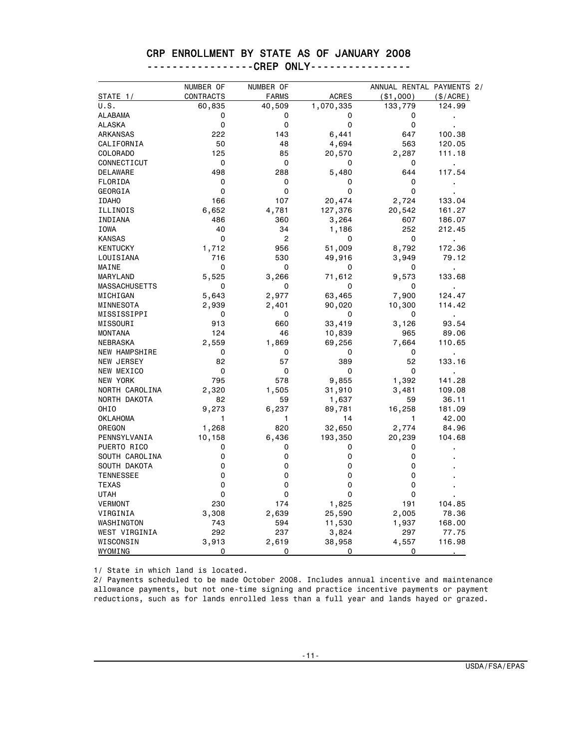#### CRP ENROLLMENT BY STATE AS OF JANUARY 2008 -----------------CREP ONLY----------------

|                      | NUMBER OF | NUMBER OF    |              | ANNUAL RENTAL PAYMENTS 2/ |                |
|----------------------|-----------|--------------|--------------|---------------------------|----------------|
| STATE 1/             | CONTRACTS | <b>FARMS</b> | <b>ACRES</b> | ( \$1,000)                | (\$/ACRE)      |
| U.S.                 | 60,835    | 40,509       | 1,070,335    | 133,779                   | 124.99         |
| ALABAMA              | 0         | 0            | 0            | 0                         |                |
| <b>ALASKA</b>        | 0         | 0            | 0            | 0                         |                |
| ARKANSAS             | 222       | 143          | 6,441        | 647                       | 100.38         |
| CALIFORNIA           | 50        | 48           | 4,694        | 563                       | 120.05         |
| COLORADO             | 125       | 85           | 20,570       | 2,287                     | 111.18         |
| CONNECTICUT          | 0         | 0            | 0            | 0                         | $\blacksquare$ |
| DELAWARE             | 498       | 288          | 5,480        | 644                       | 117.54         |
| FLORIDA              | 0         | 0            | 0            | 0                         |                |
| GEORGIA              | 0         | 0            | 0            | 0                         |                |
| <b>IDAHO</b>         | 166       | 107          | 20,474       | 2,724                     | 133.04         |
| ILLINOIS             | 6,652     | 4,781        | 127,376      | 20,542                    | 161.27         |
| INDIANA              | 486       | 360          | 3,264        | 607                       | 186.07         |
| IOWA                 | 40        | 34           | 1,186        | 252                       | 212.45         |
| <b>KANSAS</b>        | 0         | 2            | 0            | 0                         | $\blacksquare$ |
| <b>KENTUCKY</b>      | 1,712     | 956          | 51,009       | 8,792                     | 172.36         |
| LOUISIANA            | 716       | 530          | 49,916       | 3,949                     | 79.12          |
| MAINE                | 0         | 0            | 0            | 0                         | $\blacksquare$ |
| MARYLAND             | 5,525     | 3,266        | 71,612       | 9,573                     | 133.68         |
| MASSACHUSETTS        | 0         | 0            | 0            | 0                         |                |
| MICHIGAN             | 5,643     | 2,977        | 63,465       | 7,900                     | 124.47         |
| MINNESOTA            | 2,939     | 2,401        | 90,020       | 10,300                    | 114.42         |
| MISSISSIPPI          | 0         | 0            | 0            | 0                         | $\blacksquare$ |
| MISSOURI             | 913       | 660          | 33,419       | 3,126                     | 93.54          |
| <b>MONTANA</b>       | 124       | 46           | 10,839       | 965                       | 89.06          |
| NEBRASKA             | 2,559     | 1,869        | 69,256       | 7,664                     | 110.65         |
| <b>NEW HAMPSHIRE</b> | 0         | 0            | 0            | 0                         | $\blacksquare$ |
| NEW JERSEY           | 82        | 57           | 389          | 52                        | 133.16         |
| NEW MEXICO           | 0         | 0            | 0            | 0                         |                |
| NEW YORK             | 795       | 578          | 9,855        | 1,392                     | 141.28         |
| NORTH CAROLINA       | 2,320     | 1,505        | 31,910       | 3,481                     | 109.08         |
| NORTH DAKOTA         | 82        | 59           | 1,637        | 59                        | 36.11          |
| OHIO                 | 9,273     | 6,237        | 89,781       | 16,258                    | 181.09         |
| OKLAHOMA             | 1         | 1            | 14           | 1                         | 42.00          |
| OREGON               | 1,268     | 820          | 32,650       | 2,774                     | 84.96          |
| PENNSYLVANIA         | 10,158    | 6,436        | 193,350      | 20,239                    | 104.68         |
| PUERTO RICO          | 0         | 0            | 0            | 0                         |                |
| SOUTH CAROLINA       | 0         | 0            | 0            | 0                         |                |
| SOUTH DAKOTA         | 0         | 0            | 0            | 0                         |                |
| <b>TENNESSEE</b>     | $\Omega$  | 0            | 0            | 0                         |                |
| TEXAS                | 0         | 0            | 0            | 0                         |                |
| <b>UTAH</b>          | 0         | $\mathbf 0$  | $\Omega$     | 0                         |                |
| <b>VERMONT</b>       | 230       | 174          | 1,825        | 191                       | 104.85         |
| VIRGINIA             | 3,308     | 2,639        | 25,590       | 2,005                     | 78.36          |
| WASHINGTON           | 743       | 594          | 11,530       | 1,937                     | 168.00         |
| WEST VIRGINIA        | 292       | 237          | 3,824        | 297                       | 77.75          |
| WISCONSIN            | 3,913     | 2,619        | 38,958       | 4,557                     | 116.98         |
| WYOMING              | 0         | 0            | 0            | 0                         |                |

1/ State in which land is located.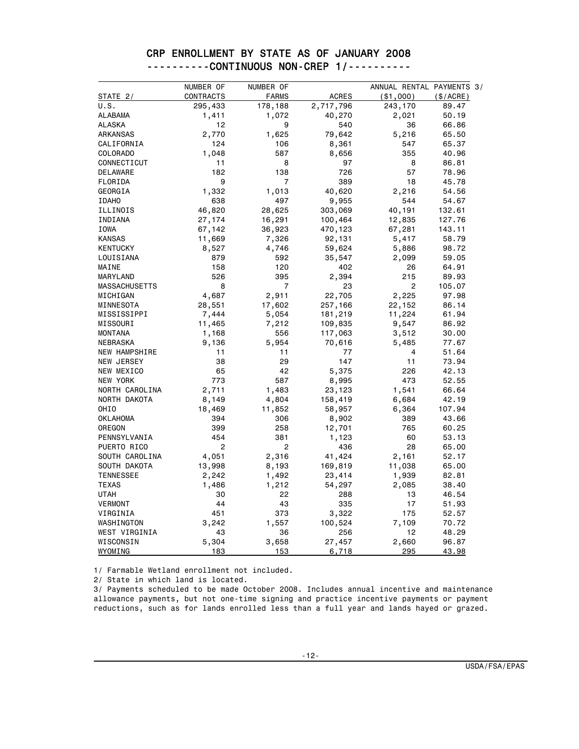|                      | NUMBER OF | NUMBER OF      |              | ANNUAL RENTAL PAYMENTS 3/ |           |
|----------------------|-----------|----------------|--------------|---------------------------|-----------|
| STATE 2/             | CONTRACTS | <b>FARMS</b>   | <b>ACRES</b> | ( \$1,000)                | (\$/ACRE) |
| U.S.                 | 295,433   | 178,188        | 2,717,796    | 243,170                   | 89.47     |
| <b>ALABAMA</b>       | 1,411     | 1,072          | 40,270       | 2,021                     | 50.19     |
| <b>ALASKA</b>        | 12        | 9              | 540          | 36                        | 66.86     |
| ARKANSAS             | 2,770     | 1,625          | 79,642       | 5,216                     | 65.50     |
| CALIFORNIA           | 124       | 106            | 8,361        | 547                       | 65.37     |
| COLORADO             | 1,048     | 587            | 8,656        | 355                       | 40.96     |
| CONNECTICUT          | 11        | 8              | 97           | 8                         | 86.81     |
| DELAWARE             | 182       | 138            | 726          | 57                        | 78.96     |
| FLORIDA              | 9         | $\overline{7}$ | 389          | 18                        | 45.78     |
| GEORGIA              | 1,332     | 1,013          | 40,620       | 2,216                     | 54.56     |
| <b>IDAHO</b>         | 638       | 497            | 9,955        | 544                       | 54.67     |
| ILLINOIS             | 46,820    | 28,625         | 303,069      | 40,191                    | 132.61    |
| INDIANA              | 27,174    | 16,291         | 100,464      | 12,835                    | 127.76    |
| IOWA                 | 67,142    | 36,923         | 470,123      | 67,281                    | 143.11    |
| <b>KANSAS</b>        | 11,669    | 7,326          | 92,131       | 5,417                     | 58.79     |
| <b>KENTUCKY</b>      | 8,527     | 4,746          | 59,624       | 5,886                     | 98.72     |
| LOUISIANA            | 879       | 592            | 35,547       | 2,099                     | 59.05     |
| MAINE                | 158       | 120            | 402          | 26                        | 64.91     |
| MARYLAND             | 526       | 395            | 2,394        | 215                       | 89.93     |
| <b>MASSACHUSETTS</b> | 8         | $\overline{7}$ | 23           | 2                         | 105.07    |
| MICHIGAN             | 4,687     | 2,911          | 22,705       | 2,225                     | 97.98     |
| MINNESOTA            | 28,551    | 17,602         | 257,166      | 22,152                    | 86.14     |
| MISSISSIPPI          | 7,444     | 5,054          | 181,219      | 11,224                    | 61.94     |
| MISSOURI             | 11,465    | 7,212          | 109,835      | 9,547                     | 86.92     |
| <b>MONTANA</b>       | 1,168     | 556            | 117,063      | 3,512                     | 30.00     |
| NEBRASKA             | 9,136     | 5,954          | 70,616       | 5,485                     | 77.67     |
| NEW HAMPSHIRE        | 11        | 11             | 77           | 4                         | 51.64     |
| NEW JERSEY           | 38        | 29             | 147          | 11                        | 73.94     |
| NEW MEXICO           | 65        | 42             | 5,375        | 226                       | 42.13     |
| NEW YORK             | 773       | 587            | 8,995        | 473                       | 52.55     |
| NORTH CAROLINA       | 2,711     | 1,483          | 23,123       | 1,541                     | 66.64     |
| NORTH DAKOTA         | 8,149     | 4,804          | 158,419      | 6,684                     | 42.19     |
| OHIO                 | 18,469    | 11,852         | 58,957       | 6,364                     | 107.94    |
| <b>OKLAHOMA</b>      | 394       | 306            | 8,902        | 389                       | 43.66     |
| OREGON               | 399       | 258            | 12,701       | 765                       | 60.25     |
| PENNSYLVANIA         | 454       | 381            | 1,123        | 60                        | 53.13     |
| PUERTO RICO          | 2         | 2              | 436          | 28                        | 65.00     |
| SOUTH CAROLINA       | 4,051     | 2,316          | 41,424       | 2,161                     | 52.17     |
| SOUTH DAKOTA         | 13,998    | 8,193          | 169,819      | 11,038                    | 65.00     |
| <b>TENNESSEE</b>     | 2,242     | 1,492          | 23,414       | 1,939                     | 82.81     |
| <b>TEXAS</b>         | 1,486     | 1,212          | 54,297       | 2,085                     | 38.40     |
| <b>UTAH</b>          | 30        | 22             | 288          | 13                        | 46.54     |
| <b>VERMONT</b>       | 44        | 43             | 335          | 17                        | 51.93     |
| VIRGINIA             | 451       | 373            | 3,322        | 175                       | 52.57     |
| WASHINGTON           | 3,242     | 1,557          | 100,524      | 7,109                     | 70.72     |
| WEST VIRGINIA        | 43        | 36             | 256          | 12                        | 48.29     |
| WISCONSIN            | 5,304     | 3,658          | 27,457       | 2,660                     | 96.87     |
| WYOMING              | 183       | 153            | 6,718        | 295                       | 43.98     |

#### CRP ENROLLMENT BY STATE AS OF JANUARY 2008 ----------CONTINUOUS NON-CREP 1/----------

1/ Farmable Wetland enrollment not included.

2/ State in which land is located.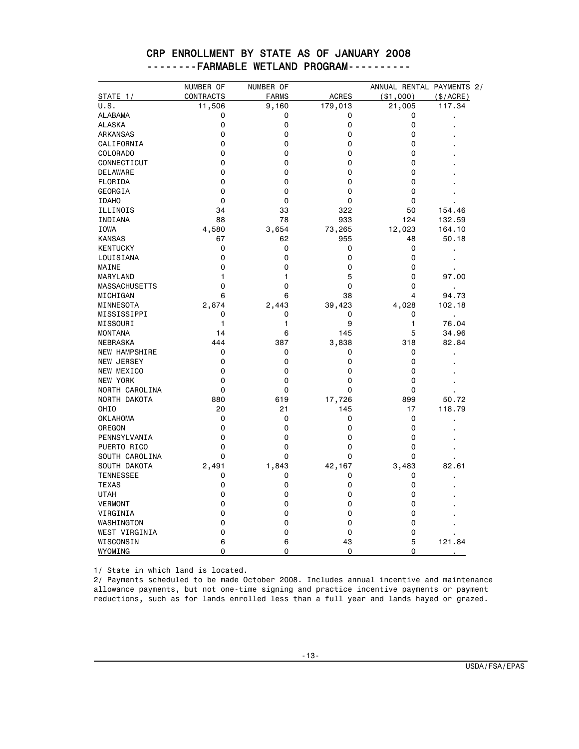|                      | NUMBER OF   | NUMBER OF    |              | ANNUAL RENTAL PAYMENTS 2/ |                |
|----------------------|-------------|--------------|--------------|---------------------------|----------------|
| STATE 1/             | CONTRACTS   | <b>FARMS</b> | <b>ACRES</b> | ( \$1,000)                | (\$/ACRE)      |
| U.S.                 | 11,506      | 9,160        | 179,013      | 21,005                    | 117.34         |
| <b>ALABAMA</b>       | 0           | 0            | 0            | 0                         |                |
| <b>ALASKA</b>        | 0           | 0            | 0            | 0                         |                |
| ARKANSAS             | 0           | $\mathbf 0$  | 0            | 0                         |                |
| CALIFORNIA           | 0           | 0            | 0            | 0                         |                |
| <b>COLORADO</b>      | 0           | $\mathbf 0$  | 0            | 0                         |                |
| CONNECTICUT          | $\mathbf 0$ | 0            | 0            | 0                         |                |
| DELAWARE             | $\Omega$    | $\mathbf 0$  | $\Omega$     | 0                         |                |
| FLORIDA              | $\Omega$    | 0            | 0            | 0                         |                |
| GEORGIA              | $\Omega$    | 0            | 0            | 0                         |                |
| <b>IDAHO</b>         | $\mathbf 0$ | $\mathbf 0$  | 0            | 0                         |                |
| ILLINOIS             | 34          | 33           | 322          | 50                        | 154.46         |
| INDIANA              | 88          | 78           | 933          | 124                       | 132.59         |
| IOWA                 | 4,580       | 3,654        | 73,265       | 12,023                    | 164.10         |
| <b>KANSAS</b>        | 67          | 62           | 955          | 48                        | 50.18          |
| <b>KENTUCKY</b>      | $\mathbf 0$ | $\mathbf 0$  | 0            | 0                         |                |
| LOUISIANA            | $\mathbf 0$ | 0            | 0            | 0                         | $\blacksquare$ |
| MAINE                | 0           | 0            | 0            | 0                         |                |
| MARYLAND             | 1           | 1            | 5            | 0                         | 97.00          |
| <b>MASSACHUSETTS</b> | 0           | $\mathbf 0$  | 0            | 0                         |                |
| MICHIGAN             | 6           | 6            | 38           | 4                         | 94.73          |
| MINNESOTA            | 2,874       | 2,443        | 39,423       | 4,028                     | 102.18         |
| MISSISSIPPI          | 0           | 0            | 0            | 0                         | $\blacksquare$ |
| MISSOURI             | 1           | 1            | 9            | 1                         | 76.04          |
| <b>MONTANA</b>       | 14          | 6            | 145          | 5                         | 34.96          |
| NEBRASKA             | 444         | 387          | 3,838        | 318                       | 82.84          |
| NEW HAMPSHIRE        | 0           | 0            | 0            | 0                         |                |
| NEW JERSEY           | 0           | 0            | 0            | 0                         |                |
| NEW MEXICO           | 0           | 0            | 0            | 0                         |                |
| NEW YORK             | 0           | $\mathbf 0$  | 0            | 0                         |                |
| NORTH CAROLINA       | 0           | $\mathbf 0$  | 0            | 0                         |                |
| NORTH DAKOTA         | 880         | 619          | 17,726       | 899                       | 50.72          |
| OHIO                 | 20          | 21           | 145          | 17                        | 118.79         |
| <b>OKLAHOMA</b>      | 0           | 0            | 0            | 0                         |                |
| OREGON               | $\Omega$    | $\mathbf 0$  | 0            | 0                         |                |
| PENNSYLVANIA         | 0           | $\mathbf 0$  | 0            | 0                         |                |
| PUERTO RICO          | 0           | $\mathbf 0$  | 0            | 0                         |                |
| SOUTH CAROLINA       | 0           | $\mathbf 0$  | 0            | 0                         |                |
| SOUTH DAKOTA         | 2,491       | 1,843        | 42,167       | 3,483                     | 82.61          |
| <b>TENNESSEE</b>     | 0           | 0            | 0            | 0                         |                |
| <b>TEXAS</b>         | $\mathbf 0$ | $\mathbf 0$  | 0            | 0                         |                |
| <b>UTAH</b>          | 0           | 0            | 0            | 0                         |                |
| <b>VERMONT</b>       | 0           | 0            | 0            | 0                         |                |
| VIRGINIA             | 0           | 0            | 0            | 0                         |                |
| WASHINGTON           | 0           | 0            | 0            | 0                         |                |
| WEST VIRGINIA        | 0           | 0            | 0            | 0                         |                |
| WISCONSIN            | 6           | 6            | 43           | 5                         | 121.84         |
| WYOMING              | 0           | 0            | 0            | 0                         |                |

#### CRP ENROLLMENT BY STATE AS OF JANUARY 2008 --------FARMABLE WETLAND PROGRAM----------

1/ State in which land is located.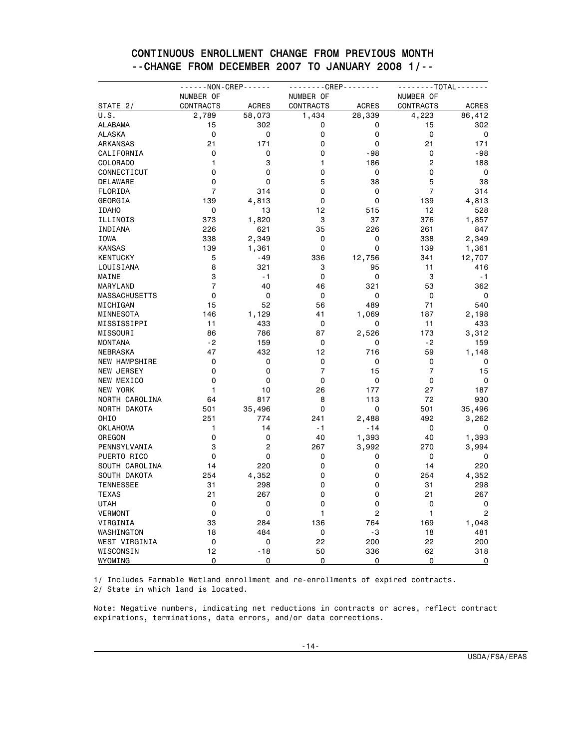|                      | - - - - - - NON - CREP - - - - - - |                | - - - - - - - - CREP - - - - - - - - |              | - - - - - - - - TOTAL - - - - - - - |                |  |
|----------------------|------------------------------------|----------------|--------------------------------------|--------------|-------------------------------------|----------------|--|
|                      | NUMBER OF                          |                | NUMBER OF                            |              | NUMBER OF                           |                |  |
| STATE 2/             | <b>CONTRACTS</b>                   | <b>ACRES</b>   | <b>CONTRACTS</b>                     | <b>ACRES</b> | <b>CONTRACTS</b>                    | <b>ACRES</b>   |  |
| U.S.                 | 2,789                              | 58,073         | 1,434                                | 28,339       | 4,223                               | 86,412         |  |
| ALABAMA              | 15                                 | 302            | 0                                    | 0            | 15                                  | 302            |  |
| <b>ALASKA</b>        | 0                                  | 0              | 0                                    | 0            | 0                                   | 0              |  |
| ARKANSAS             | 21                                 | 171            | 0                                    | 0            | 21                                  | 171            |  |
| CALIFORNIA           | 0                                  | $\mathbf 0$    | 0                                    | $-98$        | 0                                   | -98            |  |
| COLORADO             | 1                                  | 3              | 1                                    | 186          | $\overline{c}$                      | 188            |  |
| CONNECTICUT          | 0                                  | 0              | 0                                    | 0            | 0                                   | 0              |  |
| DELAWARE             | 0                                  | $\mathbf 0$    | 5                                    | 38           | 5                                   | 38             |  |
| FLORIDA              | $\overline{7}$                     | 314            | 0                                    | $\mathbf 0$  | $\overline{7}$                      | 314            |  |
| GEORGIA              | 139                                | 4,813          | 0                                    | $\Omega$     | 139                                 | 4,813          |  |
| <b>IDAHO</b>         | 0                                  | 13             | 12                                   | 515          | 12                                  | 528            |  |
| ILLINOIS             | 373                                | 1,820          | 3                                    | 37           | 376                                 | 1,857          |  |
| INDIANA              | 226                                | 621            | 35                                   | 226          | 261                                 | 847            |  |
| IOWA                 | 338                                | 2,349          | 0                                    | 0            | 338                                 | 2,349          |  |
| <b>KANSAS</b>        | 139                                | 1,361          | 0                                    | 0            | 139                                 | 1,361          |  |
| <b>KENTUCKY</b>      | 5                                  | -49            | 336                                  | 12,756       | 341                                 | 12,707         |  |
| LOUISIANA            | 8                                  | 321            | 3                                    | 95           | 11                                  | 416            |  |
| MAINE                | 3                                  | $-1$           | 0                                    | $\mathbf 0$  | 3                                   | $-1$           |  |
| MARYLAND             | $\overline{7}$                     | 40             | 46                                   | 321          | 53                                  | 362            |  |
| <b>MASSACHUSETTS</b> | 0                                  | 0              | $\Omega$                             | $\Omega$     | $\Omega$                            | 0              |  |
| MICHIGAN             | 15                                 | 52             | 56                                   | 489          | 71                                  | 540            |  |
| MINNESOTA            | 146                                | 1,129          | 41                                   | 1,069        | 187                                 | 2,198          |  |
| MISSISSIPPI          | 11                                 | 433            | 0                                    | 0            | 11                                  | 433            |  |
| MISSOURI             | 86                                 | 786            | 87                                   | 2,526        | 173                                 | 3,312          |  |
| <b>MONTANA</b>       | $-2$                               | 159            | 0                                    | 0            | -2                                  | 159            |  |
| NEBRASKA             | 47                                 | 432            | 12                                   | 716          | 59                                  | 1,148          |  |
| <b>NEW HAMPSHIRE</b> | 0                                  | 0              | $\mathbf 0$                          | $\mathbf 0$  | 0                                   | 0              |  |
| <b>NEW JERSEY</b>    | 0                                  | $\mathbf 0$    | $\overline{7}$                       | 15           | $\overline{7}$                      | 15             |  |
| NEW MEXICO           | 0                                  | 0              | $\mathbf 0$                          | $\mathbf 0$  | 0                                   | $\mathbf 0$    |  |
| NEW YORK             | 1                                  |                | 26                                   |              | 27                                  |                |  |
|                      |                                    | 10             |                                      | 177          |                                     | 187            |  |
| NORTH CAROLINA       | 64                                 | 817            | 8                                    | 113          | 72                                  | 930            |  |
| NORTH DAKOTA         | 501                                | 35,496         | 0                                    | 0            | 501                                 | 35,496         |  |
| OHI <sub>0</sub>     | 251                                | 774            | 241                                  | 2,488        | 492                                 | 3,262          |  |
| OKLAHOMA             | 1                                  | 14             | - 1                                  | - 14         | 0                                   | 0              |  |
| OREGON               | 0                                  | 0              | 40                                   | 1,393        | 40                                  | 1,393          |  |
| PENNSYLVANIA         | 3                                  | $\overline{c}$ | 267                                  | 3,992        | 270                                 | 3,994          |  |
| PUERTO RICO          | 0                                  | $\mathbf 0$    | 0                                    | 0            | 0                                   | 0              |  |
| SOUTH CAROLINA       | 14                                 | 220            | 0                                    | 0            | 14                                  | 220            |  |
| SOUTH DAKOTA         | 254                                | 4,352          | 0                                    | 0            | 254                                 | 4,352          |  |
| <b>TENNESSEE</b>     | 31                                 | 298            | 0                                    | 0            | 31                                  | 298            |  |
| <b>TEXAS</b>         | 21                                 | 267            | 0                                    | 0            | 21                                  | 267            |  |
| UTAH                 | 0                                  | 0              | $\Omega$                             | 0            | 0                                   | 0              |  |
| <b>VERMONT</b>       | 0                                  | 0              | 1                                    | 2            | 1                                   | $\overline{c}$ |  |
| VIRGINIA             | 33                                 | 284            | 136                                  | 764          | 169                                 | 1,048          |  |
| WASHINGTON           | 18                                 | 484            | 0                                    | -3           | 18                                  | 481            |  |
| WEST VIRGINIA        | 0                                  | 0              | 22                                   | 200          | 22                                  | 200            |  |
| WISCONSIN            | 12                                 | $-18$          | 50                                   | 336          | 62                                  | 318            |  |
| WYOMING              | 0                                  | 0              | 0                                    | 0            | 0                                   | 0              |  |

#### CONTINUOUS ENROLLMENT CHANGE FROM PREVIOUS MONTH --CHANGE FROM DECEMBER 2007 TO JANUARY 2008 1/--

1/ Includes Farmable Wetland enrollment and re-enrollments of expired contracts. 2/ State in which land is located.

Note: Negative numbers, indicating net reductions in contracts or acres, reflect contract expirations, terminations, data errors, and/or data corrections.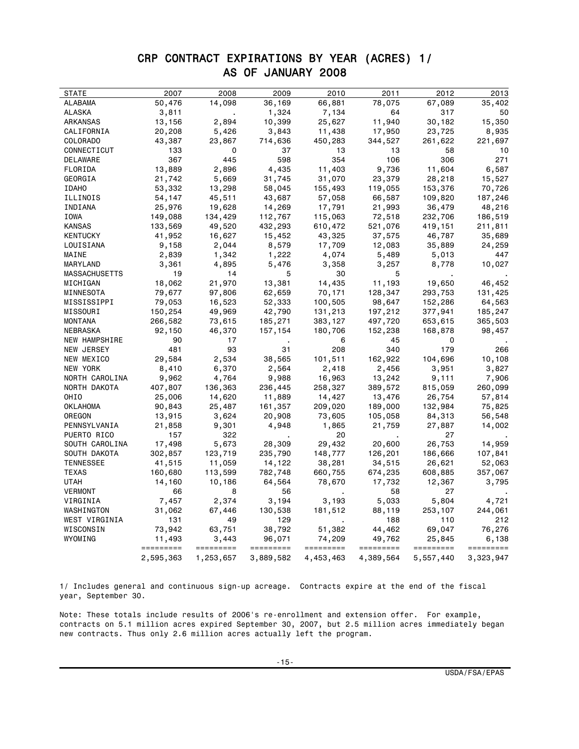## CRP CONTRACT EXPIRATIONS BY YEAR (ACRES) 1/ AS OF JANUARY 2008

| <b>STATE</b>    | 2007      | 2008      | 2009      | 2010      | 2011      | 2012      | 2013      |
|-----------------|-----------|-----------|-----------|-----------|-----------|-----------|-----------|
| ALABAMA         | 50,476    | 14,098    | 36,169    | 66,881    | 78,075    | 67,089    | 35,402    |
| ALASKA          | 3,811     |           | 1,324     | 7,134     | 64        | 317       | 50        |
| ARKANSAS        | 13,156    | 2,894     | 10,399    | 25,627    | 11,940    | 30,182    | 15,350    |
| CALIFORNIA      | 20,208    | 5,426     | 3,843     | 11,438    | 17,950    | 23,725    | 8,935     |
| <b>COLORADO</b> | 43,387    | 23,867    | 714,636   | 450,283   | 344,527   | 261,622   | 221,697   |
| CONNECTICUT     | 133       | 0         | 37        | 13        | 13        | 58        | 10        |
| DELAWARE        | 367       | 445       | 598       | 354       | 106       | 306       | 271       |
| FLORIDA         | 13,889    | 2,896     | 4,435     | 11,403    | 9,736     | 11,604    | 6,587     |
| GEORGIA         | 21,742    | 5,669     | 31,745    | 31,070    | 23,379    | 28,218    | 15,527    |
| <b>IDAHO</b>    | 53,332    | 13,298    | 58,045    | 155,493   | 119,055   | 153,376   | 70,726    |
| ILLINOIS        | 54,147    | 45,511    | 43,687    | 57,058    | 66,587    | 109,820   | 187,246   |
| INDIANA         | 25,976    | 19,628    | 14,269    | 17,791    | 21,993    | 36,479    | 48,216    |
| IOWA            | 149,088   | 134,429   | 112,767   | 115,063   | 72,518    | 232,706   | 186,519   |
| KANSAS          | 133,569   | 49,520    | 432,293   | 610,472   | 521,076   | 419,151   | 211,811   |
| KENTUCKY        | 41,952    | 16,627    | 15,452    | 43,325    | 37,575    | 46,787    | 35,689    |
| LOUISIANA       | 9,158     | 2,044     | 8,579     | 17,709    | 12,083    | 35,889    | 24,259    |
| MAINE           | 2,839     | 1,342     | 1,222     | 4,074     | 5,489     | 5,013     | 447       |
| MARYLAND        | 3,361     | 4,895     | 5,476     | 3,358     | 3,257     | 8,778     | 10,027    |
| MASSACHUSETTS   | 19        | 14        | 5         | 30        | 5         |           |           |
| MICHIGAN        | 18,062    | 21,970    | 13,381    | 14,435    | 11,193    | 19,650    | 46,452    |
| MINNESOTA       | 79,677    | 97,806    | 62,659    | 70,171    | 128,347   | 293,753   | 131,425   |
| MISSISSIPPI     | 79,053    | 16,523    | 52,333    | 100,505   | 98,647    | 152,286   | 64,563    |
| MISSOURI        | 150,254   | 49,969    | 42,790    | 131,213   | 197,212   | 377,941   | 185,247   |
| MONTANA         | 266,582   | 73,615    | 185,271   | 383,127   | 497,720   | 653,615   | 365,503   |
| NEBRASKA        | 92,150    | 46,370    | 157,154   | 180,706   | 152,238   | 168,878   | 98,457    |
| NEW HAMPSHIRE   | 90        | 17        |           | 6         | 45        | 0         |           |
| NEW JERSEY      | 481       | 93        | 31        | 208       | 340       | 179       | 266       |
| NEW MEXICO      | 29,584    | 2,534     | 38,565    | 101,511   | 162,922   | 104,696   | 10,108    |
| NEW YORK        | 8,410     | 6,370     | 2,564     | 2,418     | 2,456     | 3,951     | 3,827     |
| NORTH CAROLINA  | 9,962     | 4,764     | 9,988     | 16,963    | 13,242    | 9,111     | 7,906     |
| NORTH DAKOTA    | 407,807   | 136,363   | 236,445   | 258,327   | 389,572   | 815,059   | 260,099   |
| OHIO            | 25,006    | 14,620    | 11,889    | 14,427    | 13,476    | 26,754    | 57,814    |
| OKLAHOMA        | 90,843    | 25,487    | 161,357   | 209,020   | 189,000   | 132,984   | 75,825    |
| OREGON          | 13,915    | 3,624     | 20,908    | 73,605    | 105,058   | 84,313    | 56,548    |
| PENNSYLVANIA    | 21,858    | 9,301     | 4,948     | 1,865     | 21,759    | 27,887    | 14,002    |
| PUERTO RICO     | 157       | 322       |           | 20        |           | 27        |           |
| SOUTH CAROLINA  | 17,498    | 5,673     | 28,309    | 29,432    | 20,600    | 26,753    | 14,959    |
| SOUTH DAKOTA    | 302,857   | 123,719   | 235,790   | 148,777   | 126,201   | 186,666   | 107,841   |
| TENNESSEE       | 41,515    | 11,059    | 14,122    | 38,281    | 34,515    | 26,621    | 52,063    |
| TEXAS           | 160,680   | 113,599   | 782,748   | 660,755   | 674,235   | 608,885   | 357,067   |
| UTAH            | 14,160    | 10,186    | 64,564    | 78,670    | 17,732    | 12,367    | 3,795     |
| <b>VERMONT</b>  | 66        | 8         | 56        |           | 58        | 27        |           |
| VIRGINIA        | 7,457     | 2,374     | 3,194     | 3,193     | 5,033     | 5,804     | 4,721     |
| WASHINGTON      | 31,062    | 67,446    | 130,538   | 181,512   | 88,119    | 253,107   | 244,061   |
| WEST VIRGINIA   | 131       | 49        | 129       |           | 188       | 110       | 212       |
| WISCONSIN       | 73,942    | 63,751    | 38,792    | 51,382    | 44,462    | 69,047    | 76,276    |
| WYOMING         | 11,493    | 3,443     | 96,071    | 74,209    | 49,762    | 25,845    | 6,138     |
|                 | ========= | ========= | ========= | ========= | ========= | ========= | ========= |
|                 | 2,595,363 | 1,253,657 | 3,889,582 | 4,453,463 | 4,389,564 | 5,557,440 | 3,323,947 |

1/ Includes general and continuous sign-up acreage. Contracts expire at the end of the fiscal year, September 30.

Note: These totals include results of 2006's re-enrollment and extension offer. For example, contracts on 5.1 million acres expired September 30, 2007, but 2.5 million acres immediately began new contracts. Thus only 2.6 million acres actually left the program.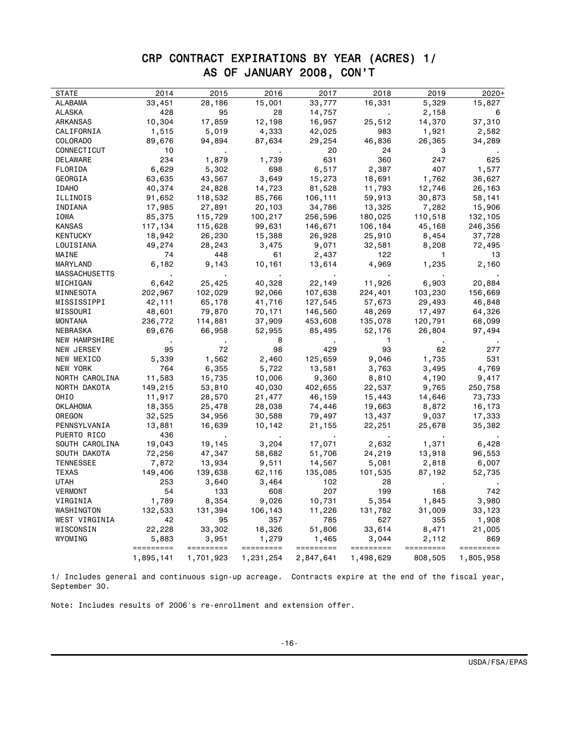## CRP CONTRACT EXPIRATIONS BY YEAR (ACRES) 1/ AS OF JANUARY 2008, CON'T

| STATE                | 2014      | 2015      | 2016      | 2017      | 2018         | 2019      | $2020+$   |
|----------------------|-----------|-----------|-----------|-----------|--------------|-----------|-----------|
| ALABAMA              | 33,451    | 28,186    | 15,001    | 33,777    | 16,331       | 5,329     | 15,827    |
| ALASKA               | 428       | 95        | 28        | 14,757    |              | 2,158     | 6         |
| ARKANSAS             | 10,304    | 17,859    | 12,198    | 16,957    | 25,512       | 14,370    | 37,310    |
| CALIFORNIA           | 1,515     | 5,019     | 4,333     | 42,025    | 983          | 1,921     | 2,582     |
| COLORADO             | 89,676    | 94,894    | 87,634    | 29,254    | 46,836       | 26,365    | 34,289    |
| CONNECTICUT          | 10        |           |           | 20        | 24           | 3         |           |
| DELAWARE             | 234       | 1,879     | 1,739     | 631       | 360          | 247       | 625       |
| FLORIDA              | 6,629     | 5,302     | 698       | 6,517     | 2,387        | 407       | 1,577     |
| GEORGIA              | 63,635    | 43,567    | 3,649     | 15,273    | 18,691       | 1,762     | 36,627    |
| <b>IDAHO</b>         | 40,374    | 24,828    | 14,723    | 81,528    | 11,793       | 12,746    | 26,163    |
| ILLINOIS             | 91,652    | 118,532   | 85,766    | 106,111   | 59,913       | 30,873    | 58,141    |
| INDIANA              | 17,985    | 27,891    | 20,103    | 34,786    | 13,325       | 7,282     | 15,906    |
| IOWA                 | 85,375    | 115,729   | 100,217   | 256,596   | 180,025      | 110,518   | 132,105   |
| <b>KANSAS</b>        | 117,134   | 115,628   | 99,631    | 146,671   | 106,184      | 45,168    | 246,356   |
| KENTUCKY             | 18,942    | 26,230    | 15,388    | 26,928    | 25,910       | 8,454     | 37,728    |
| LOUISIANA            | 49,274    | 28,243    | 3,475     | 9,071     | 32,581       | 8,208     | 72,495    |
| MAINE                | 74        | 448       | 61        | 2,437     | 122          | 1         | 13        |
| MARYLAND             | 6,182     | 9,143     | 10,161    | 13,614    | 4,969        | 1,235     | 2,160     |
| <b>MASSACHUSETTS</b> |           |           |           |           |              |           |           |
| MICHIGAN             | 6,642     | 25,425    | 40,328    | 22,149    | 11,926       | 6,903     | 20,884    |
| MINNESOTA            | 202,967   | 102,029   | 92,066    | 107,638   | 224,401      | 103,230   | 156,669   |
| MISSISSIPPI          | 42,111    | 65,178    | 41,716    | 127,545   | 57,673       | 29,493    | 46,848    |
| MISSOURI             | 48,601    | 79,870    | 70,171    | 146,560   | 48,269       | 17,497    | 64,326    |
| MONTANA              | 236,772   | 114,881   | 37,909    | 453,608   | 135,078      | 120,791   | 68,099    |
| NEBRASKA             | 69,676    | 66,958    | 52,955    | 85,495    | 52,176       | 26,804    | 97,494    |
| NEW HAMPSHIRE        |           |           | 8         |           | $\mathbf{1}$ |           |           |
| NEW JERSEY           | 95        | 72        | 98        | 429       | 93           | 62        | 277       |
| NEW MEXICO           | 5,339     | 1,562     | 2,460     | 125,659   | 9,046        | 1,735     | 531       |
| NEW YORK             | 764       | 6,355     | 5,722     | 13,581    | 3,763        | 3,495     | 4,769     |
| NORTH CAROLINA       | 11,583    | 15,735    | 10,006    | 9,360     | 8,810        | 4,190     | 9,417     |
| NORTH DAKOTA         | 149,215   | 53,810    | 40,030    | 402,655   | 22,537       | 9,765     | 250,758   |
| OHIO                 | 11,917    | 28,570    | 21,477    | 46,159    | 15,443       | 14,646    | 73,733    |
| OKLAHOMA             | 18,355    | 25,478    | 28,038    | 74,446    | 19,663       | 8,872     | 16,173    |
| OREGON               | 32,525    | 34,956    | 30,588    | 79,497    | 13,437       | 9,037     | 17,333    |
| PENNSYLVANIA         | 13,881    | 16,639    | 10,142    | 21,155    | 22,251       | 25,678    | 35,382    |
| PUERTO RICO          | 436       |           |           |           |              |           |           |
| SOUTH CAROLINA       | 19,043    | 19,145    | 3,204     | 17,071    | 2,632        | 1,371     | 6,428     |
| SOUTH DAKOTA         | 72,256    | 47,347    | 58,682    | 51,706    | 24,219       | 13,918    | 96,553    |
| <b>TENNESSEE</b>     | 7,872     | 13,934    | 9,511     | 14,567    | 5,081        | 2,818     | 6,007     |
| TEXAS                | 149,406   | 139,638   | 62,116    | 135,085   | 101,535      | 87,192    | 52,735    |
| UTAH                 | 253       | 3,640     | 3,464     | 102       | 28           |           |           |
| VERMONT              | 54        | 133       | 608       | 207       | 199          | 168       | 742       |
| VIRGINIA             | 1,789     | 8,354     | 9,026     | 10,731    | 5,354        | 1,845     | 3,980     |
| WASHINGTON           | 132,533   | 131,394   | 106,143   | 11,226    | 131,782      | 31,009    | 33,123    |
| WEST VIRGINIA        | 42        | 95        | 357       | 785       | 627          | 355       | 1,908     |
| WISCONSIN            | 22,228    | 33,302    | 18,326    | 51,806    | 33,614       | 8,471     | 21,005    |
| WYOMING              | 5,883     | 3,951     | 1,279     | 1,465     | 3,044        | 2,112     | 869       |
|                      | ========= | ========= | ========= | ========= | =========    | ========= | ========= |
|                      | 1,895,141 | 1,701,923 | 1,231,254 | 2,847,641 | 1,498,629    | 808,505   | 1,805,958 |

1/ Includes general and continuous sign-up acreage. Contracts expire at the end of the fiscal year, September 30.

Note: Includes results of 2006's re-enrollment and extension offer.

÷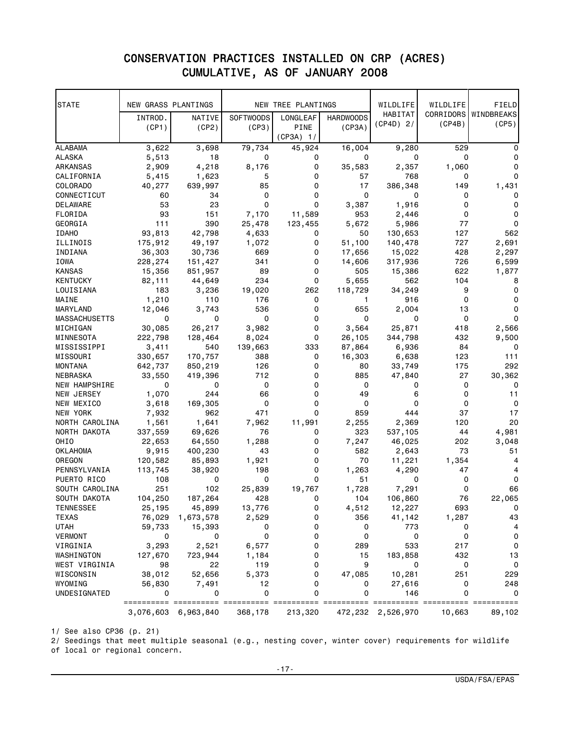## C0NSERVATION PRACTICES INSTALLED ON CRP (ACRES) CUMULATIVE, AS OF JANUARY 2008

| <b>STATE</b>     | NEW GRASS PLANTINGS |           |                  | NEW TREE PLANTINGS |                  | WILDLIFE    | WILDLIFE | FIELD                |
|------------------|---------------------|-----------|------------------|--------------------|------------------|-------------|----------|----------------------|
|                  | INTROD.             | NATIVE    | <b>SOFTWOODS</b> | LONGLEAF           | <b>HARDWOODS</b> | HABITAT     |          | CORRIDORS WINDBREAKS |
|                  | (CP1)               | (CP2)     | (CP3)            | PINE               | (CP3A)           | $(CP4D)$ 2/ | (CP4B)   | (CP5)                |
|                  |                     |           |                  | (CP3A) 1/          |                  |             |          |                      |
| <b>ALABAMA</b>   | 3,622               | 3,698     | 79,734           | 45,924             | 16,004           | 9,280       | 529      | 0                    |
| ALASKA           | 5,513               | 18        | 0                | 0                  | 0                | 0           | 0        | 0                    |
| ARKANSAS         | 2,909               | 4,218     | 8,176            | 0                  | 35,583           | 2,357       | 1,060    | 0                    |
| CALIFORNIA       | 5,415               | 1,623     | 5                | 0                  | 57               | 768         | 0        | 0                    |
| COLORADO         | 40,277              | 639,997   | 85               | 0                  | 17               | 386,348     | 149      | 1,431                |
| CONNECTICUT      | 60                  | 34        | 0                | 0                  | 0                | 0           | 0        | 0                    |
| DELAWARE         | 53                  | 23        | 0                | 0                  | 3,387            | 1,916       | 0        | 0                    |
| FLORIDA          | 93                  | 151       | 7,170            | 11,589             | 953              | 2,446       | 0        | 0                    |
| GEORGIA          | 111                 | 390       | 25,478           | 123,455            | 5,672            | 5,986       | 77       | 0                    |
| <b>IDAHO</b>     | 93,813              | 42,798    | 4,633            | 0                  | 50               | 130,653     | 127      | 562                  |
| ILLINOIS         | 175,912             | 49,197    | 1,072            | 0                  | 51,100           | 140,478     | 727      | 2,691                |
| INDIANA          | 36,303              | 30,736    | 669              | 0                  | 17,656           | 15,022      | 428      | 2,297                |
| IOWA             | 228,274             | 151,427   | 341              | 0                  | 14,606           | 317,936     | 726      | 6,599                |
| KANSAS           | 15,356              | 851,957   | 89               | 0                  | 505              | 15,386      | 622      | 1,877                |
| KENTUCKY         | 82,111              | 44,649    | 234              | 0                  | 5,655            | 562         | 104      | 8                    |
| LOUISIANA        | 183                 | 3,236     | 19,020           | 262                | 118,729          | 34,249      | 9        | 0                    |
| MAINE            | 1,210               | 110       | 176              | 0                  | 1                | 916         | 0        | 0                    |
| MARYLAND         | 12,046              | 3,743     | 536              | 0                  | 655              | 2,004       | 13       | 0                    |
| MASSACHUSETTS    | 0                   | 0         | 0                | 0                  | 0                | 0           | 0        | 0                    |
| MICHIGAN         | 30,085              | 26,217    | 3,982            | 0                  | 3,564            | 25,871      | 418      | 2,566                |
| MINNESOTA        | 222,798             | 128,464   | 8,024            | 0                  | 26,105           | 344,798     | 432      | 9,500                |
| MISSISSIPPI      | 3,411               | 540       | 139,663          | 333                | 87,864           | 6,936       | 84       | 0                    |
| MISSOURI         | 330,657             | 170,757   | 388              | 0                  | 16,303           | 6,638       | 123      | 111                  |
| <b>MONTANA</b>   | 642,737             | 850,219   | 126              | 0                  | 80               | 33,749      | 175      | 292                  |
| NEBRASKA         | 33,550              | 419,396   | 712              | 0                  | 885              | 47,840      | 27       | 30,362               |
| NEW HAMPSHIRE    | 0                   | 0         | 0                | 0                  | 0                | 0           | 0        | 0                    |
| NEW JERSEY       | 1,070               | 244       | 66               | 0                  | 49               | 6           | 0        | 11                   |
| NEW MEXICO       | 3,618               | 169,305   | 0                | 0                  | 0                | 0           | 0        | $\Omega$             |
| NEW YORK         | 7,932               | 962       | 471              | 0                  | 859              | 444         | 37       | 17                   |
| NORTH CAROLINA   | 1,561               | 1,641     | 7,962            | 11,991             | 2,255            | 2,369       | 120      | 20                   |
| NORTH DAKOTA     | 337,559             | 69,626    | 76               | 0                  | 323              | 537,105     | 44       | 4,981                |
| OHIO             | 22,653              | 64,550    | 1,288            | 0                  | 7,247            | 46,025      | 202      | 3,048                |
| <b>OKLAHOMA</b>  | 9,915               | 400,230   | 43               | 0                  | 582              | 2,643       | 73       | 51                   |
| OREGON           | 120,582             | 85,893    | 1,921            | 0                  | 70               | 11,221      | 1,354    | 4                    |
| PENNSYLVANIA     | 113,745             | 38,920    | 198              | 0                  | 1,263            | 4,290       | 47       | 4                    |
| PUERTO RICO      | 108                 | 0         | 0                | 0                  | 51               | 0           | 0        | 0                    |
| SOUTH CAROLINA   | 251                 | 102       | 25,839           | 19,767             | 1,728            | 7,291       | 0        | 66                   |
| SOUTH DAKOTA     | 104,250             | 187,264   | 428              | 0                  | 104              | 106,860     | 76       | 22,065               |
| <b>TENNESSEE</b> | 25,195              | 45,899    | 13,776           | 0                  | 4,512            | 12,227      | 693      | 0                    |
| TEXAS            | 76,029              | 1,673,578 | 2,529            | 0                  | 356              | 41,142      | 1,287    | 43                   |
| UTAH             | 59,733              | 15,393    | 0                | 0                  | 0                | 773         | 0        | 4                    |
| <b>VERMONT</b>   | 0                   | 0         | 0                | 0                  | 0                | 0           | 0        | 0                    |
| VIRGINIA         | 3,293               | 2,521     | 6,577            | 0                  | 289              | 533         | 217      | $\mathbf 0$          |
| WASHINGTON       | 127,670             | 723,944   | 1,184            | 0                  | 15               | 183,858     | 432      | 13                   |
| WEST VIRGINIA    | 98                  | 22        | 119              | 0                  | 9                | 0           | 0        | 0                    |
| WISCONSIN        | 38,012              | 52,656    | 5,373            | 0                  | 47,085           | 10,281      | 251      | 229                  |
| WYOMING          | 56,830              | 7,491     | 12               | 0                  | 0                | 27,616      | 0        | 248                  |
| UNDESIGNATED     | 0                   | 0         | 0                | 0                  | 0                | 146         | 0        | 0                    |
|                  | ==========          |           |                  |                    |                  |             | ===      | $==$<br>===          |
|                  | 3,076,603           | 6,963,840 | 368,178          | 213,320            | 472,232          | 2,526,970   | 10,663   | 89,102               |

1/ See also CP36 (p. 21)

2/ Seedings that meet multiple seasonal (e.g., nesting cover, winter cover) requirements for wildlife of local or regional concern.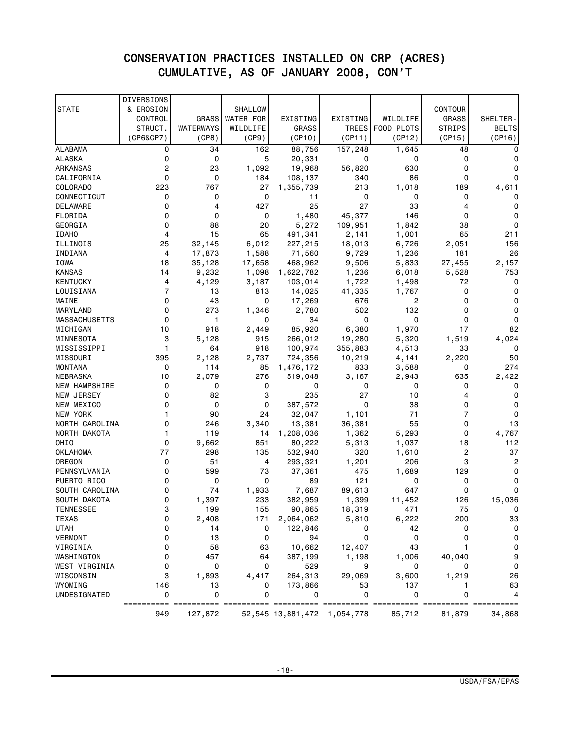## CONSERVATION PRACTICES INSTALLED ON CRP (ACRES) CUMULATIVE, AS OF JANUARY 2008, CON'T

|                      | DIVERSIONS     |              |                  |                   |           |                  |                |              |
|----------------------|----------------|--------------|------------------|-------------------|-----------|------------------|----------------|--------------|
| <b>STATE</b>         | & EROSION      |              | <b>SHALLOW</b>   |                   |           |                  | <b>CONTOUR</b> |              |
|                      | CONTROL        | <b>GRASS</b> | <b>WATER FOR</b> | EXISTING          | EXISTING  | WILDLIFE         | GRASS          | SHELTER-     |
|                      | STRUCT.        | WATERWAYS    | WILDLIFE         | <b>GRASS</b>      |           | TREES FOOD PLOTS | <b>STRIPS</b>  | <b>BELTS</b> |
|                      | (CP6&CP7)      | (CP8)        | (CP9)            | (CP10)            | (CP11)    | (CP12)           | (CP15)         | (CP16)       |
| <b>ALABAMA</b>       | 0              | 34           | 162              | 88,756            | 157,248   | 1,645            | 48             | $\Omega$     |
| <b>ALASKA</b>        | 0              | 0            | 5                | 20,331            | 0         | 0                | 0              | 0            |
| ARKANSAS             | $\overline{c}$ | 23           | 1,092            | 19,968            | 56,820    | 630              | 0              | 0            |
| CALIFORNIA           | $\mathbf 0$    | 0            | 184              | 108,137           | 340       | 86               | 0              | $\Omega$     |
| COLORADO             | 223            | 767          | 27               | 1,355,739         | 213       | 1,018            | 189            | 4,611        |
| CONNECTICUT          | 0              | 0            | 0                | 11                | 0         | 0                | 0              | 0            |
| DELAWARE             | 0              | 4            | 427              | 25                | 27        | 33               | 4              | 0            |
| FLORIDA              | $\mathbf 0$    | 0            | 0                | 1,480             | 45,377    | 146              | 0              | 0            |
| GEORGIA              | $\mathbf 0$    | 88           | 20               | 5,272             | 109,951   | 1,842            | 38             | $\mathbf 0$  |
| <b>IDAHO</b>         | 4              | 15           | 65               | 491,341           | 2,141     | 1,001            | 65             | 211          |
| ILLINOIS             | 25             | 32,145       | 6,012            | 227,215           | 18,013    | 6,726            | 2,051          | 156          |
| INDIANA              | 4              | 17,873       | 1,588            | 71,560            | 9,729     | 1,236            | 181            | 26           |
| IOWA                 | 18             | 35,128       | 17,658           | 468,962           | 9,506     | 5,833            | 27,455         | 2,157        |
| KANSAS               | 14             | 9,232        | 1,098            | 1,622,782         | 1,236     | 6,018            | 5,528          | 753          |
| KENTUCKY             | 4              | 4,129        | 3,187            | 103,014           | 1,722     | 1,498            | 72             | 0            |
| LOUISIANA            | $\overline{7}$ | 13           | 813              | 14,025            | 41,335    | 1,767            | 0              | 0            |
| MAINE                | $\mathbf 0$    | 43           | 0                | 17,269            | 676       | 2                | 0              | $\mathbf 0$  |
| MARYLAND             | 0              | 273          | 1,346            | 2,780             | 502       | 132              | 0              | $\mathbf 0$  |
| <b>MASSACHUSETTS</b> | 0              | 1            | 0                | 34                | 0         | 0                | 0              | 0            |
| MICHIGAN             | 10             | 918          | 2,449            | 85,920            | 6,380     | 1,970            | 17             | 82           |
| MINNESOTA            | 3              | 5,128        | 915              | 266,012           | 19,280    | 5,320            | 1,519          | 4,024        |
| MISSISSIPPI          | 1              | 64           | 918              | 100,974           | 355,883   | 4,513            | 33             | 0            |
| MISSOURI             | 395            | 2,128        | 2,737            | 724,356           | 10,219    | 4,141            | 2,220          | 50           |
| <b>MONTANA</b>       | 0              | 114          | 85               | 1,476,172         | 833       | 3,588            | 0              | 274          |
| NEBRASKA             | 10             | 2,079        | 276              | 519,048           | 3,167     | 2,943            | 635            | 2,422        |
| <b>NEW HAMPSHIRE</b> | $\mathbf 0$    | 0            | 0                | 0                 | 0         | 0                | 0              | 0            |
| NEW JERSEY           | 0              | 82           | 3                | 235               | 27        | 10               | 4              | $\mathbf 0$  |
| NEW MEXICO           | $\mathbf 0$    | 0            | 0                | 387,572           | 0         | 38               | 0              | $\mathbf 0$  |
| NEW YORK             | 1              | 90           | 24               | 32,047            | 1,101     | 71               | 7              | $\mathbf 0$  |
| NORTH CAROLINA       | 0              | 246          | 3,340            | 13,381            | 36,381    | 55               | 0              | 13           |
| NORTH DAKOTA         | 1              | 119          | 14               | 1,208,036         | 1,362     | 5,293            | 0              | 4,767        |
| OHIO                 | $\mathbf 0$    | 9,662        | 851              | 80,222            | 5,313     | 1,037            | 18             | 112          |
| <b>OKLAHOMA</b>      | 77             | 298          | 135              | 532,940           | 320       | 1,610            | 2              | 37           |
| OREGON               | 0              | 51           | 4                | 293,321           | 1,201     | 206              | 3              | 2            |
| PENNSYLVANIA         | $\mathbf 0$    | 599          | 73               | 37,361            | 475       | 1,689            | 129            | $\mathbf 0$  |
| PUERTO RICO          | 0              | 0            | 0                | 89                | 121       | 0                | 0              | 0            |
| SOUTH CAROLINA       | $\mathbf 0$    | 74           | 1,933            | 7,687             | 89,613    | 647              | 0              | 0            |
| SOUTH DAKOTA         | 0              | 1,397        | 233              | 382,959           | 1,399     | 11,452           | 126            | 15,036       |
| ILNNESSEL            | З              | 199          | 155              | 90,865            | 18,319    | 471              | 75             | 0            |
| TEXAS                | 0              | 2,408        | 171              | 2,064,062         | 5,810     | 6,222            | 200            | 33           |
| <b>UTAH</b>          | 0              | 14           | 0                | 122,846           | 0         | 42               | 0              | 0            |
| <b>VERMONT</b>       | 0              | 13           | 0                | 94                | 0         | 0                | 0              | $\mathbf 0$  |
| VIRGINIA             | 0              | 58           | 63               | 10,662            | 12,407    | 43               | 1              | 0            |
| WASHINGTON           | 0              | 457          | 64               | 387,199           | 1,198     | 1,006            | 40,040         | 9            |
| WEST VIRGINIA        | 0              | 0            | 0                | 529               | 9         | 0                | 0              | $\mathbf 0$  |
| WISCONSIN            | 3              | 1,893        | 4,417            | 264,313           | 29,069    | 3,600            | 1,219          | 26           |
| WYOMING              | 146            | 13           | 0                | 173,866           | 53        | 137              | 1              | 63           |
| UNDESIGNATED         | 0              | 0            | 0                | 0                 | 0         | 0                | 0              | 4            |
|                      | 949            | 127,872      |                  | 52,545 13,881,472 | 1,054,778 | 85,712           | 81,879         | 34,868       |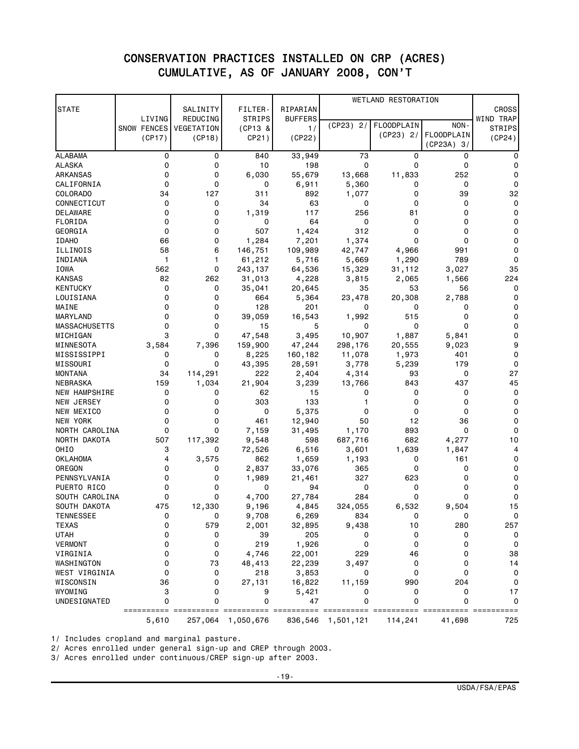## CONSERVATION PRACTICES INSTALLED ON CRP (ACRES) CUMULATIVE, AS OF JANUARY 2008, CON'T

| <b>STATE</b>         |             | SALINITY   | FILTER-       | RIPARIAN       |             | WETLAND RESTORATION |                                   | <b>CROSS</b>  |
|----------------------|-------------|------------|---------------|----------------|-------------|---------------------|-----------------------------------|---------------|
|                      | LIVING      | REDUCING   | <b>STRIPS</b> | <b>BUFFERS</b> |             |                     |                                   | WIND TRAP     |
|                      | SNOW FENCES | VEGETATION | (CP13 &       | 1/             | $(CP23)$ 2/ | FLOODPLAIN          | NON-                              | <b>STRIPS</b> |
|                      | (CP17)      | (CP18)     | CP21)         | (CP22)         |             | (CP23) 2/           | <b>FLOODPLAIN</b><br>$(CP23A)$ 3/ | (CP24)        |
| <b>ALABAMA</b>       | 0           | 0          | 840           | 33,949         | 73          | 0                   | 0                                 | 0             |
| ALASKA               | 0           | 0          | 10            | 198            | 0           | 0                   | 0                                 | 0             |
| ARKANSAS             | 0           | 0          | 6,030         | 55,679         | 13,668      | 11,833              | 252                               | 0             |
| CALIFORNIA           | 0           | 0          | 0             | 6,911          | 5,360       | 0                   | 0                                 | 0             |
| COLORADO             | 34          | 127        | 311           | 892            | 1,077       | 0                   | 39                                | 32            |
| CONNECTICUT          | 0           | 0          | 34            | 63             | 0           | 0                   | 0                                 | 0             |
| DELAWARE             | 0           | 0          | 1,319         | 117            | 256         | 81                  | 0                                 | 0             |
| FLORIDA              | 0           | 0          | 0             | 64             | 0           | 0                   | 0                                 | 0             |
| GEORGIA              | 0           | 0          | 507           | 1,424          | 312         | 0                   | 0                                 | 0             |
| <b>IDAHO</b>         | 66          | 0          | 1,284         | 7,201          | 1,374       | 0                   | 0                                 | 0             |
| ILLINOIS             | 58          | 6          | 146,751       | 109,989        | 42,747      | 4,966               | 991                               | 0             |
| INDIANA              | 1           | 1          | 61,212        | 5,716          | 5,669       | 1,290               | 789                               | 0             |
| <b>IOWA</b>          | 562         | 0          | 243,137       | 64,536         | 15,329      | 31,112              | 3,027                             | 35            |
| <b>KANSAS</b>        | 82          | 262        | 31,013        | 4,228          | 3,815       | 2,065               | 1,566                             | 224           |
| KENTUCKY             | 0           | 0          | 35,041        | 20,645         | 35          | 53                  | 56                                | 0             |
| LOUISIANA            | 0           | 0          | 664           | 5,364          | 23,478      | 20,308              | 2,788                             | 0             |
| MAINE                | 0           | 0          | 128           | 201            | 0           | 0                   | 0                                 | 0             |
| MARYLAND             | 0           | 0          | 39,059        | 16,543         | 1,992       | 515                 | 0                                 | 0             |
| MASSACHUSETTS        | 0           | 0          | 15            | 5              | 0           | 0                   | 0                                 | 0             |
| MICHIGAN             | 3           | 0          | 47,548        | 3,495          | 10,907      | 1,887               | 5,841                             | 0             |
| MINNESOTA            | 3,584       | 7,396      | 159,900       | 47,244         | 298,176     | 20,555              | 9,023                             | 9             |
| MISSISSIPPI          | 0           | 0          | 8,225         | 160,182        | 11,078      | 1,973               | 401                               | 0             |
| MISSOURI             | 0           | 0          | 43,395        | 28,591         | 3,778       | 5,239               | 179                               | 0             |
| MONTANA              | 34          | 114,291    | 222           | 2,404          | 4,314       | 93                  | 0                                 | 27            |
| NEBRASKA             | 159         | 1,034      | 21,904        | 3,239          | 13,766      | 843                 | 437                               | 45            |
| <b>NEW HAMPSHIRE</b> | 0           | 0          | 62            | 15             | 0           | 0                   | 0                                 | 0             |
| NEW JERSEY           | 0           | 0          | 303           | 133            | 1           | 0                   | 0                                 | 0             |
| NEW MEXICO           | 0           | 0          | 0             | 5,375          | 0           | 0                   | 0                                 | 0             |
| NEW YORK             | 0           | 0          | 461           | 12,940         | 50          | 12                  | 36                                | 0             |
| NORTH CAROLINA       | 0           | 0          | 7,159         | 31,495         | 1,170       | 893                 | 0                                 | 0             |
| NORTH DAKOTA         | 507         | 117,392    | 9,548         | 598            | 687,716     | 682                 | 4,277                             | 10            |
| OHI <sub>0</sub>     | 3           | 0          | 72,526        | 6,516          | 3,601       | 1,639               | 1,847                             | 4             |
| OKLAHOMA             | 4           | 3,575      | 862           | 1,659          | 1,193       | 0                   | 161                               | 0             |
| OREGON               | 0           | 0          | 2,837         | 33,076         | 365         | 0                   | 0                                 | 0             |
| PENNSYLVANIA         | 0           | 0          | 1,989         | 21,461         | 327         | 623                 | 0                                 | 0             |
| PUERTO RICO          | 0           | 0          | 0             | 94             | 0           | 0                   | 0                                 | 0             |
| SOUTH CAROLINA       | 0           | 0          | 4,700         | 27,784         | 284         | 0                   | 0                                 | 0             |
| SOUTH DAKOTA         | 475         | 12.330     | 9,196         | 4,845          | 324,055     | 6,532               | 9,504                             | 15            |
| <b>TENNESSEE</b>     | 0           | 0          | 9,708         | 6,269          | 834         | 0                   | 0                                 | 0             |
| <b>TEXAS</b>         | 0           | 579        | 2,001         | 32,895         | 9,438       | 10                  | 280                               | 257           |
| <b>UTAH</b>          | 0           | 0          | 39            | 205            | 0           | 0                   | 0                                 | 0             |
| <b>VERMONT</b>       | 0           | 0          | 219           | 1,926          | 0           | 0                   | 0                                 | 0             |
| VIRGINIA             | 0           | 0          | 4,746         | 22,001         | 229         | 46                  | 0                                 | 38            |
| WASHINGTON           | 0           | 73         | 48,413        | 22,239         | 3,497       | 0                   | 0                                 | 14            |
| WEST VIRGINIA        | 0           | 0          | 218           | 3,853          | 0           | 0                   | 0                                 | 0             |
| WISCONSIN            | 36          | 0          | 27,131        | 16,822         | 11,159      | 990                 | 204                               | 0             |
| WYOMING              | 3           | 0          | 9             | 5,421          | 0           | 0                   | 0                                 | 17            |
| UNDESIGNATED         | 0           | 0          | 0             | 47             | 0           | 0                   | 0                                 | 0<br>===      |
|                      | 5,610       | 257,064    | 1,050,676     | 836,546        | 1,501,121   | 114,241             | 41,698                            | 725           |

1/ Includes cropland and marginal pasture.

2/ Acres enrolled under general sign-up and CREP through 2003.

3/ Acres enrolled under continuous/CREP sign-up after 2003.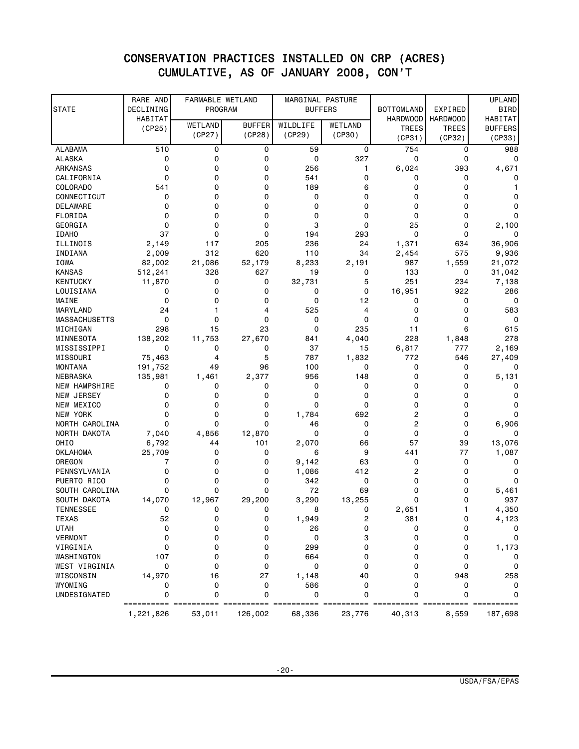## CONSERVATION PRACTICES INSTALLED ON CRP (ACRES) CUMULATIVE, AS OF JANUARY 2008, CON'T

| <b>STATE</b>                     | RARE AND<br>DECLINING | FARMABLE WETLAND<br>PROGRAM |                         | MARGINAL PASTURE   | <b>BUFFERS</b>    | <b>BOTTOMLAND</b> | EXPIRED         | <b>UPLAND</b><br><b>BIRD</b> |
|----------------------------------|-----------------------|-----------------------------|-------------------------|--------------------|-------------------|-------------------|-----------------|------------------------------|
|                                  | HABITAT               |                             |                         |                    |                   | <b>HARDWOOD</b>   | <b>HARDWOOD</b> | HABITAT                      |
|                                  | (CP25)                | WETLAND<br>(CP27)           | <b>BUFFER</b>           | WILDLIFE<br>(CP29) | WETLAND<br>(CP30) | <b>TREES</b>      | <b>TREES</b>    | <b>BUFFERS</b>               |
|                                  |                       |                             | (CP28)                  |                    |                   | (CP31)            | (CP32)          | (CP33)                       |
| <b>ALABAMA</b>                   | 510                   | 0                           | 0                       | 59                 | 0                 | 754               | 0               | 988                          |
| <b>ALASKA</b>                    | 0                     | 0                           | $\mathbf 0$             | 0                  | 327               | 0                 | 0               | 0                            |
| ARKANSAS                         | 0                     | 0                           | 0                       | 256                | 1                 | 6,024             | 393             | 4,671                        |
| CALIFORNIA                       | 0                     | 0                           | $\mathbf 0$             | 541                | 0                 | 0                 | 0               | 0                            |
| <b>COLORADO</b>                  | 541                   | 0                           | $\mathbf 0$             | 189                | 6                 | 0                 | 0               |                              |
| CONNECTICUT                      | 0                     | 0                           | $\mathbf 0$             | 0                  | 0                 | 0                 | 0               | 0                            |
| DELAWARE                         | 0                     | 0                           | $\mathbf 0$             | $\mathbf 0$        | 0                 | 0                 | 0               | 0                            |
| FLORIDA                          | 0                     | 0                           | $\mathbf 0$             | $\mathbf 0$        | 0                 | 0                 | 0               | 0                            |
| GEORGIA                          | 0                     | 0                           | $\mathbf 0$             | 3                  | 0                 | 25                | 0               | 2,100                        |
| <b>IDAHO</b>                     | 37                    | 0                           | 0                       | 194                | 293               | 0                 | 0               | 0                            |
| ILLINOIS                         | 2,149                 | 117                         | 205                     | 236                | 24                | 1,371             | 634             | 36,906                       |
| INDIANA                          | 2,009                 | 312                         | 620                     | 110                | 34                | 2,454             | 575             | 9,936                        |
| <b>IOWA</b>                      | 82,002                | 21,086                      | 52,179                  | 8,233              | 2,191             | 987               | 1,559           | 21,072                       |
| <b>KANSAS</b>                    | 512,241               | 328                         | 627                     | 19                 | 0                 | 133               | 0               | 31,042                       |
| <b>KENTUCKY</b>                  | 11,870                | 0                           | 0                       | 32,731             | 5                 | 251               | 234             | 7,138                        |
| LOUISIANA                        | 0<br>0                | 0                           | $\mathbf 0$<br>$\Omega$ | 0                  | 0                 | 16,951            | 922             | 286                          |
| MAINE                            |                       | 0                           |                         | $\mathbf 0$        | 12                | 0<br>0            | 0               | 0                            |
| MARYLAND<br><b>MASSACHUSETTS</b> | 24<br>0               | 1<br>0                      | 4<br>$\mathbf 0$        | 525<br>0           | 4<br>0            | 0                 | 0<br>0          | 583<br>0                     |
| MICHIGAN                         | 298                   | 15                          | 23                      | $\mathbf 0$        | 235               | 11                | 6               | 615                          |
| MINNESOTA                        | 138,202               | 11,753                      | 27,670                  | 841                | 4,040             | 228               | 1,848           | 278                          |
| MISSISSIPPI                      | 0                     | 0                           | 0                       | 37                 | 15                | 6,817             | 777             | 2,169                        |
| MISSOURI                         | 75,463                | 4                           | 5                       | 787                | 1,832             | 772               | 546             | 27,409                       |
| MONTANA                          | 191,752               | 49                          | 96                      | 100                | 0                 | 0                 | 0               | 0                            |
| NEBRASKA                         | 135,981               | 1,461                       | 2,377                   | 956                | 148               | 0                 | 0               | 5,131                        |
| <b>NEW HAMPSHIRE</b>             | 0                     | 0                           | 0                       | 0                  | 0                 | 0                 | 0               | 0                            |
| NEW JERSEY                       | 0                     | 0                           | 0                       | 0                  | 0                 | 0                 | 0               | 0                            |
| NEW MEXICO                       | 0                     | 0                           | $\mathbf 0$             | $\mathbf 0$        | 0                 | 0                 | 0               | 0                            |
| NEW YORK                         | 0                     | 0                           | $\Omega$                | 1,784              | 692               | 2                 | 0               | 0                            |
| NORTH CAROLINA                   | 0                     | $\Omega$                    | $\mathbf 0$             | 46                 | 0                 | 2                 | 0               | 6,906                        |
| NORTH DAKOTA                     | 7,040                 | 4,856                       | 12,870                  | 0                  | 0                 | 0                 | 0               | 0                            |
| OHI <sub>0</sub>                 | 6,792                 | 44                          | 101                     | 2,070              | 66                | 57                | 39              | 13,076                       |
| <b>OKLAHOMA</b>                  | 25,709                | 0                           | 0                       | 6                  | 9                 | 441               | 77              | 1,087                        |
| OREGON                           | 7                     | 0                           | 0                       | 9,142              | 63                | 0                 | 0               | 0                            |
| PENNSYLVANIA                     | 0                     | 0                           | 0                       | 1,086              | 412               | 2                 | 0               | 0                            |
| PUERTO RICO                      | 0                     | 0                           | 0                       | 342                | 0                 | 0                 | 0               | 0                            |
| SOUTH CAROLINA                   | 0                     | 0                           | $\Omega$                | 72                 | 69                | 0                 | 0               | 5,461                        |
| SOUTH DAKOTA                     | 14,070                | 12,967                      | 29,200                  | 3,290              | 13,255            | 0                 | 0               | 937                          |
| ILNNESSEL                        | 0                     | 0                           | 0                       | 8                  | 0                 | 2,651             |                 | 4,350                        |
| <b>TEXAS</b>                     | 52                    | 0                           | 0                       | 1,949              | $\overline{c}$    | 381               | 0               | 4,123                        |
| <b>UTAH</b>                      | 0                     | 0                           | 0                       | 26                 | 0                 | 0                 | 0               | 0                            |
| <b>VERMONT</b>                   | 0                     | 0                           | 0                       | 0                  | 3                 | 0                 | 0               | 0                            |
| VIRGINIA                         | 0                     | 0                           | $\mathbf 0$             | 299                | 0                 | 0                 | 0               | 1,173                        |
| WASHINGTON                       | 107                   | 0                           | 0                       | 664                | 0                 | 0                 | 0               | 0                            |
| WEST VIRGINIA                    | 0                     | 0                           | 0                       | 0                  | 0                 | 0                 | 0               | 0                            |
| WISCONSIN                        | 14,970                | 16                          | 27                      | 1,148              | 40                | 0                 | 948             | 258                          |
| WYOMING                          | 0                     | 0                           | 0                       | 586                | 0                 | 0                 | 0               | 0                            |
| UNDESIGNATED                     | 0                     | 0                           | $\mathbf 0$             | 0                  | 0                 | 0                 | 0               | 0                            |
|                                  | 1,221,826             | 53,011                      | 126,002                 | 68,336             | 23,776            | 40,313            | 8,559           | 187,698                      |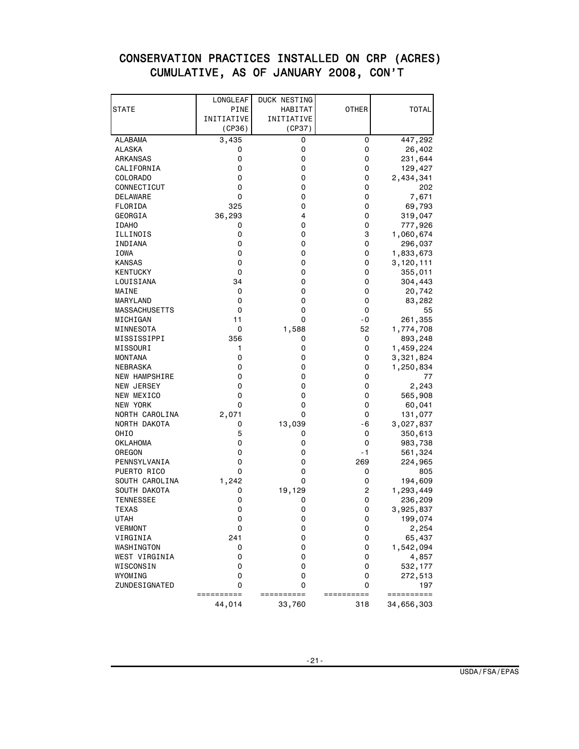## CONSERVATION PRACTICES INSTALLED ON CRP (ACRES) CUMULATIVE, AS OF JANUARY 2008, CON'T

|                      | LONGLEAF        | DUCK NESTING  |                 |                   |
|----------------------|-----------------|---------------|-----------------|-------------------|
| STATE                | <b>PINE</b>     | HABITAT       | <b>OTHER</b>    | <b>TOTAL</b>      |
|                      | INITIATIVE      | INITIATIVE    |                 |                   |
|                      | (CP36)          | (CP37)        |                 |                   |
| ALABAMA              | 3,435           | 0             | 0               | 447,292           |
| ALASKA               | 0               | 0             | 0               | 26,402            |
| ARKANSAS             | 0               | 0             | 0               | 231,644           |
| CALIFORNIA           | 0               | 0             | 0               | 129,427           |
| COLORADO             | 0               | 0             | 0               | 2,434,341         |
| CONNECTICUT          | 0               | 0             | 0               | 202               |
| <b>DELAWARE</b>      | 0               | 0             | 0               | 7,671             |
| FLORIDA              | 325             | 0             | 0               | 69,793            |
| GEORGIA              | 36,293          | 4             | 0               | 319,047           |
| <b>IDAHO</b>         | 0               | 0             | 0               | 777,926           |
| ILLINOIS             | 0               | 0             | 3               | 1,060,674         |
| INDIANA              | 0               | 0             | 0               | 296,037           |
| IOWA                 | 0               | 0             | 0               | 1,833,673         |
| <b>KANSAS</b>        | 0               | 0             | 0               | 3,120,111         |
| <b>KENTUCKY</b>      | 0               | 0             | 0               | 355,011           |
| LOUISIANA            | 34              | 0             | 0               | 304,443           |
| MAINE                | 0               | 0             | 0               | 20,742            |
| MARYLAND             | 0               | 0             | 0               | 83,282            |
| <b>MASSACHUSETTS</b> | 0               | 0             | 0               | 55                |
| MICHIGAN             | 11              | 0             | - 0             | 261,355           |
| MINNESOTA            | 0               | 1,588         | 52              | 1,774,708         |
| MISSISSIPPI          | 356             | 0             | 0               | 893,248           |
| MISSOURI             | 1               | 0             | 0               | 1,459,224         |
| <b>MONTANA</b>       | 0               | 0             | 0               | 3,321,824         |
| NEBRASKA             | 0               | 0             | 0               | 1,250,834         |
| <b>NEW HAMPSHIRE</b> | 0               | 0             | 0               | 77                |
| NEW JERSEY           | 0               | 0             | 0               | 2,243             |
| NEW MEXICO           | 0               | 0             | 0               | 565,908           |
| NEW YORK             | 0               | 0             | 0               | 60,041            |
| NORTH CAROLINA       | 2,071           | 0             | 0               | 131,077           |
| NORTH DAKOTA         | 0               | 13,039        | - 6             | 3,027,837         |
| OHIO                 | 5               | 0             | 0               | 350,613           |
| <b>OKLAHOMA</b>      | 0               | 0             | 0               | 983,738           |
| OREGON               | 0               | 0             | - 1             | 561,324           |
| PENNSYLVANIA         | 0               | 0             | 269             | 224,965           |
| PUERTO RICO          | 0               | 0             | 0               | 805               |
| SOUTH CAROLINA       | 1,242           | 0             | 0               | 194,609           |
| SOUTH DAKOTA         | 0               | 19,129        | 2               | 1,293,449         |
| <b>TENNESSEE</b>     | 0               | 0             | 0               | 236,209           |
| <b>I EXAS</b>        | 0               | 0             | 0               | 3,925,837         |
| UTAH                 | 0               | 0             | 0               | 199,074           |
| <b>VERMONT</b>       | 0               | 0             | 0               | 2,254             |
| VIRGINIA             | 241             | 0             | 0               | 65,437            |
| WASHINGTON           | 0               | 0             | 0               | 1,542,094         |
| WEST VIRGINIA        | 0               | 0             | 0               | 4,857             |
| WISCONSIN            | 0               | 0             | 0               | 532,177           |
| WYOMING              | 0               | 0             | 0               | 272,513           |
| ZUNDESIGNATED        | 0<br>========== | 0<br>======== | 0<br>========== | 197<br>========== |
|                      | 44,014          | 33,760        | 318             | 34,656,303        |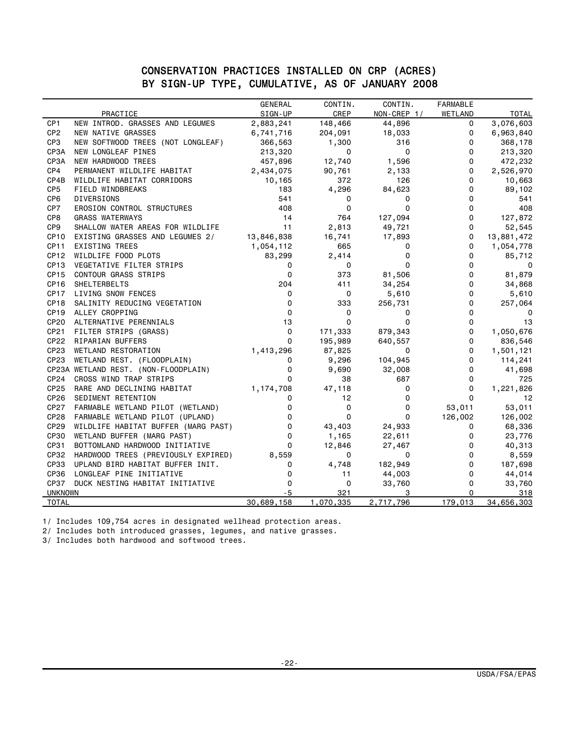#### CONSERVATION PRACTICES INSTALLED ON CRP (ACRES) BY SIGN-UP TYPE, CUMULATIVE, AS OF JANUARY 2008

|                  |                                      | <b>GENERAL</b> | CONTIN.     | CONTIN.     | <b>FARMABLE</b> |              |
|------------------|--------------------------------------|----------------|-------------|-------------|-----------------|--------------|
|                  | PRACTICE                             | SIGN-UP        | CREP        | NON-CREP 1/ | WETLAND         | <b>TOTAL</b> |
| CP <sub>1</sub>  | NEW INTROD. GRASSES AND LEGUMES      | 2,883,241      | 148,466     | 44,896      | 0               | 3,076,603    |
| CP <sub>2</sub>  | NEW NATIVE GRASSES                   | 6,741,716      | 204,091     | 18,033      | 0               | 6,963,840    |
| CP <sub>3</sub>  | NEW SOFTWOOD TREES (NOT LONGLEAF)    | 366,563        | 1,300       | 316         | 0               | 368,178      |
| CP3A             | NEW LONGLEAF PINES                   | 213,320        | 0           | 0           | 0               | 213,320      |
| CP3A             | NEW HARDWOOD TREES                   | 457,896        | 12,740      | 1,596       | 0               | 472,232      |
| CP4              | PERMANENT WILDLIFE HABITAT           | 2,434,075      | 90,761      | 2,133       | 0               | 2,526,970    |
| CP4B             | WILDLIFE HABITAT CORRIDORS           | 10,165         | 372         | 126         | 0               | 10,663       |
| CP <sub>5</sub>  | FIELD WINDBREAKS                     | 183            | 4,296       | 84,623      | 0               | 89,102       |
| CP <sub>6</sub>  | <b>DIVERSIONS</b>                    | 541            | 0           | 0           | 0               | 541          |
| CP7              | EROSION CONTROL STRUCTURES           | 408            | $\Omega$    | $\Omega$    | 0               | 408          |
| CP8              | <b>GRASS WATERWAYS</b>               | 14             | 764         | 127,094     | 0               | 127,872      |
| CP <sub>9</sub>  | SHALLOW WATER AREAS FOR WILDLIFE     | 11             | 2,813       | 49,721      | 0               | 52,545       |
| CP <sub>10</sub> | EXISTING GRASSES AND LEGUMES 2/      | 13,846,838     | 16,741      | 17,893      | 0               | 13,881,472   |
| <b>CP11</b>      | EXISTING TREES                       | 1,054,112      | 665         | 0           | 0               | 1,054,778    |
| CP <sub>12</sub> | WILDLIFE FOOD PLOTS                  | 83,299         | 2,414       | 0           | 0               | 85,712       |
| CP <sub>13</sub> | VEGETATIVE FILTER STRIPS             | 0              | 0           | $\mathbf 0$ | $\mathbf 0$     | $\Omega$     |
| CP <sub>15</sub> | <b>CONTOUR GRASS STRIPS</b>          | $\Omega$       | 373         | 81,506      | 0               | 81,879       |
| CP <sub>16</sub> | SHELTERBELTS                         | 204            | 411         | 34,254      | 0               | 34,868       |
| CP <sub>17</sub> | LIVING SNOW FENCES                   | 0              | $\mathbf 0$ | 5,610       | 0               | 5,610        |
| CP <sub>18</sub> | SALINITY REDUCING VEGETATION         | 0              | 333         | 256,731     | 0               | 257,064      |
| CP <sub>19</sub> | ALLEY CROPPING                       | 0              | 0           | 0           | 0               | $\Omega$     |
| CP <sub>20</sub> | ALTERNATIVE PERENNIALS               | 13             | $\mathbf 0$ | $\Omega$    | 0               | 13           |
| CP21             | FILTER STRIPS (GRASS)                | 0              | 171,333     | 879,343     | 0               | 1,050,676    |
| CP22             | RIPARIAN BUFFERS                     | $\Omega$       | 195,989     | 640,557     | 0               | 836,546      |
| CP23             | WETLAND RESTORATION                  | 1,413,296      | 87,825      | 0           | 0               | 1,501,121    |
| CP23             | WETLAND REST. (FLOODPLAIN)           | 0              | 9,296       | 104,945     | 0               | 114,241      |
|                  | CP23A WETLAND REST. (NON-FLOODPLAIN) | $\Omega$       | 9,690       | 32,008      | 0               | 41,698       |
| CP <sub>24</sub> | CROSS WIND TRAP STRIPS               | $\Omega$       | 38          | 687         | 0               | 725          |
| CP25             | RARE AND DECLINING HABITAT           | 1,174,708      | 47,118      | 0           | 0               | 1,221,826    |
| CP <sub>26</sub> | SEDIMENT RETENTION                   | 0              | 12          | 0           | $\Omega$        | 12           |
| <b>CP27</b>      | FARMABLE WETLAND PILOT (WETLAND)     | 0              | 0           | 0           | 53,011          | 53,011       |
| <b>CP28</b>      | FARMABLE WETLAND PILOT (UPLAND)      | 0              | $\mathbf 0$ | $\Omega$    | 126,002         | 126,002      |
| CP29             | WILDLIFE HABITAT BUFFER (MARG PAST)  | 0              | 43,403      | 24,933      | 0               | 68,336       |
| <b>CP30</b>      | WETLAND BUFFER (MARG PAST)           | 0              | 1,165       | 22,611      | 0               | 23,776       |
| CP31             | BOTTOMLAND HARDWOOD INITIATIVE       | $\Omega$       | 12,846      | 27,467      | 0               | 40,313       |
| CP32             | HARDWOOD TREES (PREVIOUSLY EXPIRED)  | 8,559          | 0           | 0           | 0               | 8,559        |
| <b>CP33</b>      | UPLAND BIRD HABITAT BUFFER INIT.     | 0              | 4,748       | 182,949     | 0               | 187,698      |
| <b>CP36</b>      | LONGLEAF PINE INITIATIVE             | 0              | 11          | 44,003      | $\Omega$        | 44,014       |
| CP37             | DUCK NESTING HABITAT INITIATIVE      | 0              | 0           | 33,760      | 0               | 33,760       |
| <b>UNKNOWN</b>   |                                      | -5             | 321         | 3           | 0               | 318          |
| <b>TOTAL</b>     |                                      | 30,689,158     | 1,070,335   | 2,717,796   | 179,013         | 34,656,303   |
|                  |                                      |                |             |             |                 |              |

1/ Includes 109,754 acres in designated wellhead protection areas.

2/ Includes both introduced grasses, legumes, and native grasses.

3/ Includes both hardwood and softwood trees.